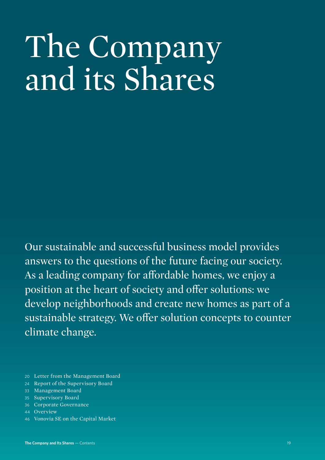# The Company and its Shares

Our sustainable and successful business model provides answers to the questions of the future facing our society. As a leading company for affordable homes, we enjoy a position at the heart of society and offer solutions: we develop neighborhoods and create new homes as part of a sustainable strategy. We offer solution concepts to counter climate change.

- 20 [Letter from the Management Board](#page-1-0)
- 24 Report of the Supervisory Board
- 33 Management Board
- 35 Supervisory Board
- 36 Corporate Governance
- 44 Overview
- 46 Vonovia SE on the Capital Market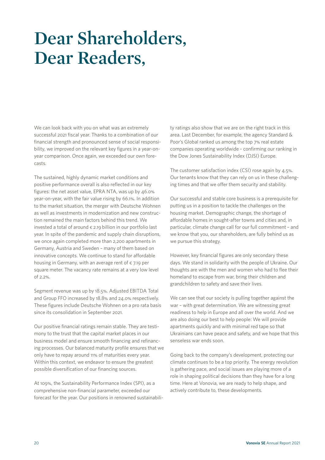### <span id="page-1-0"></span>**Dear Shareholders, Dear Readers,**

We can look back with you on what was an extremely successful 2021 fiscal year. Thanks to a combination of our financial strength and pronounced sense of social responsibility, we improved on the relevant key figures in a year-onyear comparison. Once again, we exceeded our own forecasts.

The sustained, highly dynamic market conditions and positive performance overall is also reflected in our key figures: the net asset value, EPRA NTA, was up by 46.0% year-on-year, with the fair value rising by 66.1%. In addition to the market situation, the merger with Deutsche Wohnen as well as investments in modernization and new construction remained the main factors behind this trend. We invested a total of around  $\epsilon$  2.19 billion in our portfolio last year. In spite of the pandemic and supply chain disruptions, we once again completed more than 2,200 apartments in Germany, Austria and Sweden – many of them based on innovative concepts. We continue to stand for affordable housing in Germany, with an average rent of  $\epsilon$  7.19 per square meter. The vacancy rate remains at a very low level of 2.2%.

Segment revenue was up by 18.5%. Adjusted EBITDA Total and Group FFO increased by 18.8% and 24.0% respectively. These figures include Deutsche Wohnen on a pro rata basis since its consolidation in September 2021.

Our positive financial ratings remain stable. They are testimony to the trust that the capital market places in our business model and ensure smooth financing and refinancing processes. Our balanced maturity profile ensures that we only have to repay around 11% of maturities every year. Within this context, we endeavor to ensure the greatest possible diversification of our financing sources.

At 109%, the Sustainability Performance Index (SPI), as a comprehensive non-financial parameter, exceeded our forecast for the year. Our positions in renowned sustainability ratings also show that we are on the right track in this area. Last December, for example, the agency Standard & Poor's Global ranked us among the top 7% real estate companies operating worldwide – confirming our ranking in the Dow Jones Sustainability Index (DJSI) Europe.

The customer satisfaction index (CSI) rose again by 4.5%. Our tenants know that they can rely on us in these challenging times and that we offer them security and stability.

Our successful and stable core business is a prerequisite for putting us in a position to tackle the challenges on the housing market. Demographic change, the shortage of affordable homes in sought-after towns and cities and, in particular, climate change call for our full commitment – and we know that you, our shareholders, are fully behind us as we pursue this strategy.

However, key financial figures are only secondary these days. We stand in solidarity with the people of Ukraine. Our thoughts are with the men and women who had to flee their homeland to escape from war, bring their children and grandchildren to safety and save their lives.

We can see that our society is pulling together against the war – with great determination. We are witnessing great readiness to help in Europe and all over the world. And we are also doing our best to help people: We will provide apartments quickly and with minimal red tape so that Ukrainians can have peace and safety, and we hope that this senseless war ends soon.

Going back to the company's development, protecting our climate continues to be a top priority. The energy revolution is gathering pace, and social issues are playing more of a role in shaping political decisions than they have for a long time. Here at Vonovia, we are ready to help shape, and actively contribute to, these developments.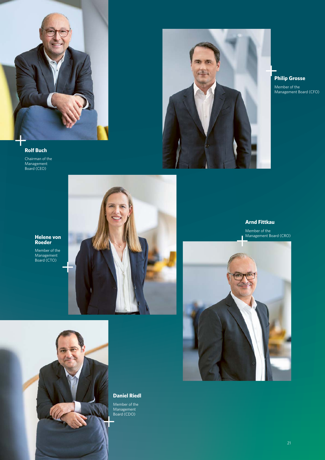



**Philip Grosse** Member of the Management Board (CFO)

#### **Rolf Buch**

Chairman of the Management Board (CEO)



Member of the Management Board (CTO)





**Daniel Riedl**

Member of the Management Board (CDO)

### **Arnd Fittkau**

Member of the Management Board (CRO)

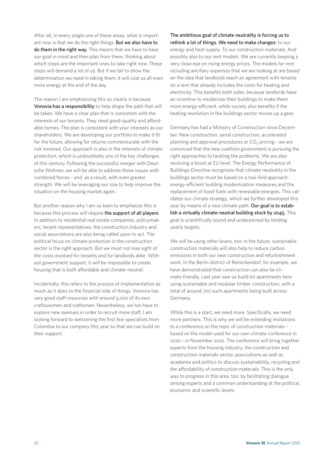After all, in every single one of these areas, what is important now is that we do the right things. But we also have to do them in the right way. This means that we have to have our goal in mind and then plan from there, thinking about which steps are the important ones to take right now. These steps will demand a lot of us. But if we fail to show the determination we need in taking them, it will cost us all even more energy at the end of the day.

The reason I am emphasizing this so clearly is because Vonovia has a responsibility to help shape the path that will be taken. We have a clear plan that is consistent with the interests of our tenants. They need good-quality and affordable homes. The plan is consistent with your interests as our shareholders. We are developing our portfolio to make it fit for the future, allowing for returns commensurate with the risk involved. Our approach is also in the interests of climate protection, which is undoubtedly one of the key challenges of this century. Following the successful merger with Deutsche Wohnen, we will be able to address these issues with combined forces – and, as a result, with even greater strength. We will be leveraging our size to help improve the situation on the housing market again.

But another reason why I am so keen to emphasize this is because this process will require the support of all players. In addition to residential real estate companies, policymakers, tenant representatives, the construction industry and social associations are also being called upon to act. The political focus on climate protection in the construction sector is the right approach. But we must not lose sight of the costs involved for tenants and for landlords alike. Without government support, it will be impossible to create housing that is both affordable and climate-neutral.

Incidentally, this refers to the process of implementation as much as it does to the financial side of things. Vonovia has very good staff resources with around 5,000 of its own craftswomen and craftsmen. Nevertheless, we too have to explore new avenues in order to recruit more staff. I am looking forward to welcoming the first few specialists from Colombia to our company this year so that we can build on their support.

The ambitious goal of climate neutrality is forcing us to rethink a lot of things. We need to make changes: to our energy and heat supply. To our construction materials. And possibly also to our rent models. We are currently keeping a very close eye on rising energy prices. The models for rent including ancillary expenses that we are looking at are based on the idea that landlords reach an agreement with tenants on a rent that already includes the costs for heating and electricity. This benefits both sides, because landlords have an incentive to modernize their buildings to make them more energy-efficient, while society also benefits if the heating revolution in the buildings sector moves up a gear.

Germany has had a Ministry of Construction since December. New construction, serial construction, accelerated planning and approval procedures or  $CO<sub>2</sub>$  pricing - we are convinced that the new coalition government is pursuing the right approaches to tackling the problems. We are also receiving a boost at EU level. The Energy Performance of Buildings Directive recognizes that climate neutrality in the buildings sector must be based on a two-fold approach: energy-efficient building modernization measures and the replacement of fossil fuels with renewable energies. This validates our climate strategy, which we further developed this year by means of a new climate path. Our goal is to establish a virtually climate-neutral building stock by 2045. This goal is scientifically sound and underpinned by binding yearly targets.

We will be using other levers, too: in the future, sustainable construction materials will also help to reduce carbon emissions in both our new construction and refurbishment work. In the Berlin district of Reinickendorf, for example, we have demonstrated that construction can also be climate-friendly. Last year saw us build 60 apartments here using sustainable and modular timber construction, with a total of around 700 such apartments being built across Germany.

While this is a start, we need more. Specifically, we need more partners. This is why we will be extending invitations to a conference on the topic of construction materials – based on the model used for our own climate conference in 2020 – in November 2022. The conference will bring together experts from the housing industry, the construction and construction materials sector, associations as well as academia and politics to discuss sustainability, recycling and the affordability of construction materials. This is the only way to progress in this area, too: by facilitating dialogue among experts and a common understanding at the political, economic and scientific levels.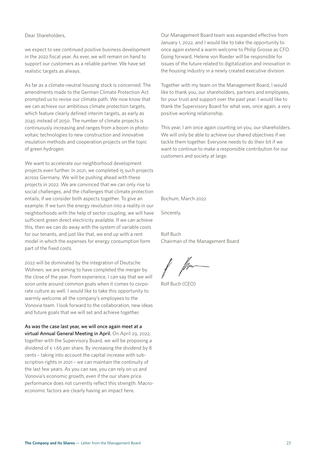#### Dear Shareholders,

we expect to see continued positive business development in the 2022 fiscal year. As ever, we will remain on hand to support our customers as a reliable partner. We have set realistic targets as always.

As far as a climate-neutral housing stock is concerned: The amendments made to the German Climate Protection Act prompted us to revise our climate path. We now know that we can achieve our ambitious climate protection targets, which feature clearly defined interim targets, as early as 2045 instead of 2050. The number of climate projects is continuously increasing and ranges from a boom in photovoltaic technologies to new construction and innovative insulation methods and cooperation projects on the topic of green hydrogen.

We want to accelerate our neighborhood development projects even further. In 2021, we completed 15 such projects across Germany. We will be pushing ahead with these projects in 2022. We are convinced that we can only rise to social challenges, and the challenges that climate protection entails, if we consider both aspects together. To give an example: If we turn the energy revolution into a reality in our neighborhoods with the help of sector coupling, we will have sufficient green direct electricity available. If we can achieve this, then we can do away with the system of variable costs for our tenants, and just like that, we end up with a rent model in which the expenses for energy consumption form part of the fixed costs.

2022 will be dominated by the integration of Deutsche Wohnen; we are aiming to have completed the merger by the close of the year. From experience, I can say that we will soon unite around common goals when it comes to corporate culture as well. I would like to take this opportunity to warmly welcome all the company's employees to the Vonovia team. I look forward to the collaboration, new ideas and future goals that we will set and achieve together.

As was the case last year, we will once again meet at a virtual Annual General Meeting in April. On April 29, 2022, together with the Supervisory Board, we will be proposing a dividend of  $\epsilon$  1.66 per share. By increasing the dividend by 8 cents – taking into account the capital increase with subscription rights in 2021 – we can maintain the continuity of the last few years. As you can see, you can rely on us and Vonovia's economic growth, even if the our share price performance does not currently reflect this strength. Macroeconomic factors are clearly having an impact here.

Our Management Board team was expanded effective from January 1, 2022, and I would like to take the opportunity to once again extend a warm welcome to Philip Grosse as CFO. Going forward, Helene von Roeder will be responsible for issues of the future related to digitalization and innovation in the housing industry in a newly created executive division.

Together with my team on the Management Board, I would like to thank you, our shareholders, partners and employees, for your trust and support over the past year. I would like to thank the Supervisory Board for what was, once again, a very positive working relationship.

This year, I am once again counting on you, our shareholders. We will only be able to achieve our shared objectives if we tackle them together. Everyone needs to do their bit if we want to continue to make a responsible contribution for our customers and society at large.

Bochum, March 2022

Sincerely,

Rolf Buch Chairman of the Management Board

for

Rolf Buch (CEO)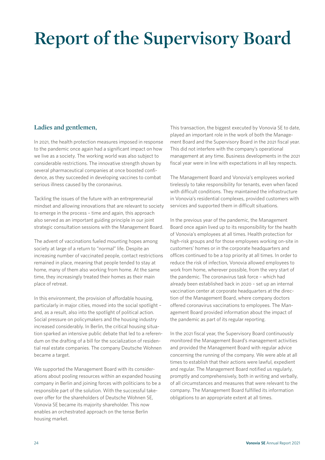## **Report of the Supervisory Board**

#### **Ladies and gentlemen,**

In 2021, the health protection measures imposed in response to the pandemic once again had a significant impact on how we live as a society. The working world was also subject to considerable restrictions. The innovative strength shown by several pharmaceutical companies at once boosted confidence, as they succeeded in developing vaccines to combat serious illness caused by the coronavirus.

Tackling the issues of the future with an entrepreneurial mindset and allowing innovations that are relevant to society to emerge in the process – time and again, this approach also served as an important guiding principle in our joint strategic consultation sessions with the Management Board.

The advent of vaccinations fueled mounting hopes among society at large of a return to "normal" life. Despite an increasing number of vaccinated people, contact restrictions remained in place, meaning that people tended to stay at home, many of them also working from home. At the same time, they increasingly treated their homes as their main place of retreat.

In this environment, the provision of affordable housing, particularly in major cities, moved into the social spotlight – and, as a result, also into the spotlight of political action. Social pressure on policymakers and the housing industry increased considerably. In Berlin, the critical housing situation sparked an intensive public debate that led to a referendum on the drafting of a bill for the socialization of residential real estate companies. The company Deutsche Wohnen became a target.

We supported the Management Board with its considerations about pooling resources within an expanded housing company in Berlin and joining forces with politicians to be a responsible part of the solution. With the successful takeover offer for the shareholders of Deutsche Wohnen SE, Vonovia SE became its majority shareholder. This now enables an orchestrated approach on the tense Berlin housing market.

This transaction, the biggest executed by Vonovia SE to date, played an important role in the work of both the Management Board and the Supervisory Board in the 2021 fiscal year. This did not interfere with the company's operational management at any time. Business developments in the 2021 fiscal year were in line with expectations in all key respects.

The Management Board and Vonovia's employees worked tirelessly to take responsibility for tenants, even when faced with difficult conditions. They maintained the infrastructure in Vonovia's residential complexes, provided customers with services and supported them in difficult situations.

In the previous year of the pandemic, the Management Board once again lived up to its responsibility for the health of Vonovia's employees at all times. Health protection for high-risk groups and for those employees working on-site in customers' homes or in the corporate headquarters and offices continued to be a top priority at all times. In order to reduce the risk of infection, Vonovia allowed employees to work from home, wherever possible, from the very start of the pandemic. The coronavirus task force – which had already been established back in 2020 – set up an internal vaccination center at corporate headquarters at the direction of the Management Board, where company doctors offered coronavirus vaccinations to employees. The Management Board provided information about the impact of the pandemic as part of its regular reporting.

In the 2021 fiscal year, the Supervisory Board continuously monitored the Management Board's management activities and provided the Management Board with regular advice concerning the running of the company. We were able at all times to establish that their actions were lawful, expedient and regular. The Management Board notified us regularly, promptly and comprehensively, both in writing and verbally, of all circumstances and measures that were relevant to the company. The Management Board fulfilled its information obligations to an appropriate extent at all times.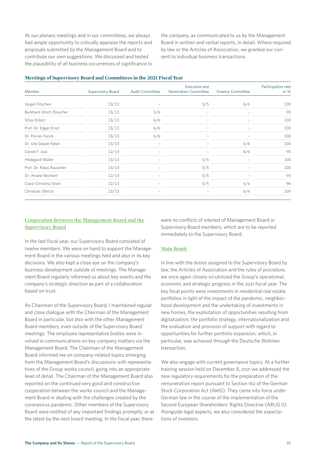At our plenary meetings and in our committees, we always had ample opportunity to critically appraise the reports and proposals submitted by the Management Board and to contribute our own suggestions. We discussed and tested the plausibility of all business occurrences of significance to the company, as communicated to us by the Management Board in written and verbal reports, in detail. Where required by law or the Articles of Association, we granted our consent to individual business transactions.

| Meetings of Supervisory Board and Committees in the 2021 Fiscal Year |  |
|----------------------------------------------------------------------|--|
|----------------------------------------------------------------------|--|

| Member                          | <b>Supervisory Board</b> | <b>Audit Committee</b> | <b>Executive and</b><br><b>Nomination Committee</b> | <b>Finance Committee</b> | Participation rate<br>in $%$ |
|---------------------------------|--------------------------|------------------------|-----------------------------------------------------|--------------------------|------------------------------|
| Jürgen Fitschen                 | 13/13                    |                        | 5/5                                                 | 6/6                      | 100                          |
| <b>Burkhard Ulrich Drescher</b> | 13/13                    | 5/6                    |                                                     |                          | 95                           |
| Vitus Eckert                    | 13/13                    | 6/6                    | $\overline{\phantom{a}}$                            |                          | 100                          |
| Prof. Dr. Edgar Ernst           | 13/13                    | 6/6                    |                                                     |                          | 100                          |
| Dr. Florian Funck               | 13/13                    | 6/6                    | $\overline{\phantom{0}}$                            |                          | 100                          |
| Dr. Ute Geipel-Faber            | 13/13                    |                        |                                                     | 6/6                      | 100                          |
| Daniel F. Just                  | 12/13                    |                        |                                                     | 6/6                      | 95                           |
| Hildegard Müller                | 13/13                    |                        | 5/5                                                 |                          | 100                          |
| Prof. Dr. Klaus Rauscher        | 13/13                    |                        | 5/5                                                 |                          | 100                          |
| Dr. Ariane Reinhart             | 12/13                    |                        | 5/5                                                 |                          | 94                           |
| Clara-Christina Streit          | 12/13                    |                        | 5/5                                                 | 6/6                      | 96                           |
| Christian Ulbrich               | 13/13                    |                        |                                                     | 6/6                      | 100                          |

#### **Cooperation Between the Management Board and the Supervisory Board**

In the last fiscal year, our Supervisory Board consisted of twelve members. We were on hand to support the Management Board in the various meetings held and also in its key decisions. We also kept a close eye on the company's business development outside of meetings. The Management Board regularly informed us about key events and the company's strategic direction as part of a collaboration based on trust.

As Chairman of the Supervisory Board, I maintained regular and close dialogue with the Chairman of the Management Board in particular, but also with the other Management Board members, even outside of the Supervisory Board meetings. The employee representative bodies were involved in communications on key company matters via the Management Board. The Chairman of the Management Board informed me on company-related topics emerging from the Management Board's discussions with representatives of the Group works council, going into an appropriate level of detail. The Chairman of the Management Board also reported on the continued very good and constructive cooperation between the works council and the Management Board in dealing with the challenges created by the coronavirus pandemic. Other members of the Supervisory Board were notified of any important findings promptly, or at the latest by the next board meeting. In the fiscal year, there

were no conflicts of interest of Management Board or Supervisory Board members, which are to be reported immediately to the Supervisory Board.

#### **Main Remit**

In line with the duties assigned to the Supervisory Board by law, the Articles of Association and the rules of procedure, we once again closely scrutinized the Group's operational, economic and strategic progress in the 2021 fiscal year. The key focal points were investments in residential real estate portfolios in light of the impact of the pandemic, neighborhood development and the undertaking of investments in new homes, the exploitation of opportunities resulting from digitalization, the portfolio strategy, internationalization and the evaluation and provision of support with regard to opportunities for further portfolio expansion, which, in particular, was achieved through the Deutsche Wohnen transaction.

We also engage with current governance topics. At a further training session held on December 8, 2021 we addressed the new regulatory requirements for the preparation of the remuneration report pursuant to Section 162 of the German Stock Corporation Act (AktG). They came into force under German law in the course of the implementation of the Second European Shareholders' Rights Directive (ARUG II). Alongside legal aspects, we also considered the expectations of investors.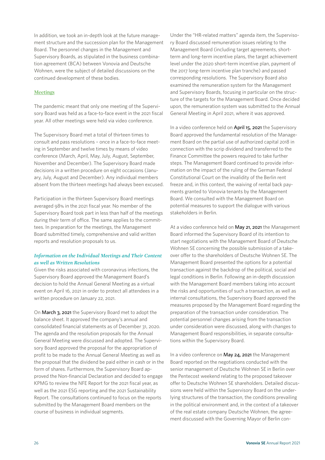In addition, we took an in-depth look at the future management structure and the succession plan for the Management Board. The personnel changes in the Management and Supervisory Boards, as stipulated in the business combination agreement (BCA) between Vonovia and Deutsche Wohnen, were the subject of detailed discussions on the continued development of these bodies.

#### **Meetings**

The pandemic meant that only one meeting of the Supervisory Board was held as a face-to-face event in the 2021 fiscal year. All other meetings were held via video conference.

The Supervisory Board met a total of thirteen times to consult and pass resolutions – once in a face-to-face meeting in September and twelve times by means of video conference (March, April, May, July, August, September, November and December). The Supervisory Board made decisions in a written procedure on eight occasions (January, July, August and December). Any individual members absent from the thirteen meetings had always been excused.

Participation in the thirteen Supervisory Board meetings averaged 98% in the 2021 fiscal year. No member of the Supervisory Board took part in less than half of the meetings during their term of office. The same applies to the committees. In preparation for the meetings, the Management Board submitted timely, comprehensive and valid written reports and resolution proposals to us.

#### *Information on the Individual Meetings and Their Content as well as Written Resolutions*

Given the risks associated with coronavirus infections, the Supervisory Board approved the Management Board's decision to hold the Annual General Meeting as a virtual event on April 16, 2021 in order to protect all attendees in a written procedure on January 22, 2021.

On March 3, 2021 the Supervisory Board met to adopt the balance sheet. It approved the company's annual and consolidated financial statements as of December 31, 2020. The agenda and the resolution proposals for the Annual General Meeting were discussed and adopted. The Supervisory Board approved the proposal for the appropriation of profit to be made to the Annual General Meeting as well as the proposal that the dividend be paid either in cash or in the form of shares. Furthermore, the Supervisory Board approved the Non-financial Declaration and decided to engage KPMG to review the NFE Report for the 2021 fiscal year, as well as the 2021 ESG reporting and the 2021 Sustainability Report. The consultations continued to focus on the reports submitted by the Management Board members on the course of business in individual segments.

Under the "HR-related matters" agenda item, the Supervisory Board discussed remuneration issues relating to the Management Board (including target agreements, shortterm and long-term incentive plans, the target achievement level under the 2020 short-term incentive plan, payment of the 2017 long-term incentive plan tranche) and passed corresponding resolutions.  The Supervisory Board also examined the remuneration system for the Management and Supervisory Boards, focusing in particular on the structure of the targets for the Management Board. Once decided upon, the remuneration system was submitted to the Annual General Meeting in April 2021, where it was approved.

In a video conference held on April 15, 2021 the Supervisory Board approved the fundamental resolution of the Management Board on the partial use of authorized capital 2018 in connection with the scrip dividend and transferred to the Finance Committee the powers required to take further steps. The Management Board continued to provide information on the impact of the ruling of the German Federal Constitutional Court on the invalidity of the Berlin rent freeze and, in this context, the waiving of rental back payments granted to Vonovia tenants by the Management Board. We consulted with the Management Board on potential measures to support the dialogue with various stakeholders in Berlin.

At a video conference held on May 21, 2021 the Management Board informed the Supervisory Board of its intention to start negotiations with the Management Board of Deutsche Wohnen SE concerning the possible submission of a takeover offer to the shareholders of Deutsche Wohnen SE. The Management Board presented the options for a potential transaction against the backdrop of the political, social and legal conditions in Berlin. Following an in-depth discussion with the Management Board members taking into account the risks and opportunities of such a transaction, as well as internal consultations, the Supervisory Board approved the measures proposed by the Management Board regarding the preparation of the transaction under consideration. The potential personnel changes arising from the transaction under consideration were discussed, along with changes to Management Board responsibilities, in separate consultations within the Supervisory Board.

In a video conference on May 24, 2021 the Management Board reported on the negotiations conducted with the senior management of Deutsche Wohnen SE in Berlin over the Pentecost weekend relating to the proposed takeover offer to Deutsche Wohnen SE shareholders. Detailed discussions were held within the Supervisory Board on the underlying structures of the transaction, the conditions prevailing in the political environment and, in the context of a takeover of the real estate company Deutsche Wohnen, the agreement discussed with the Governing Mayor of Berlin con-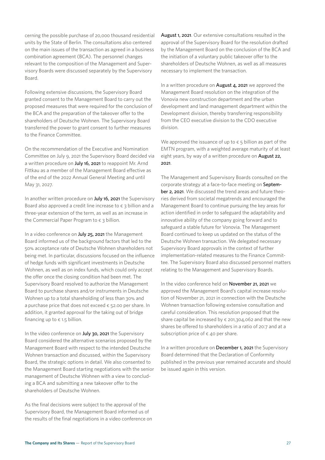cerning the possible purchase of 20,000 thousand residential units by the State of Berlin. The consultations also centered on the main issues of the transaction as agreed in a business combination agreement (BCA). The personnel changes relevant to the composition of the Management and Supervisory Boards were discussed separately by the Supervisory Board.

Following extensive discussions, the Supervisory Board granted consent to the Management Board to carry out the proposed measures that were required for the conclusion of the BCA and the preparation of the takeover offer to the shareholders of Deutsche Wohnen. The Supervisory Board transferred the power to grant consent to further measures to the Finance Committee.

On the recommendation of the Executive and Nomination Committee on July 9, 2021 the Supervisory Board decided via a written procedure on July 16, 2021 to reappoint Mr. Arnd Fittkau as a member of the Management Board effective as of the end of the 2022 Annual General Meeting and until May 31, 2027.

In another written procedure on July 16, 2021 the Supervisory Board also approved a credit line increase to  $\epsilon$  3 billion and a three-year extension of the term, as well as an increase in the Commercial Paper Program to  $\epsilon$  3 billion.

In a video conference on July 25, 2021 the Management Board informed us of the background factors that led to the 50% acceptance rate of Deutsche Wohnen shareholders not being met. In particular, discussions focused on the influence of hedge funds with significant investments in Deutsche Wohnen, as well as on index funds, which could only accept the offer once the closing condition had been met. The Supervisory Board resolved to authorize the Management Board to purchase shares and/or instruments in Deutsche Wohnen up to a total shareholding of less than 30% and a purchase price that does not exceed  $\epsilon$  52.00 per share. In addition, it granted approval for the taking out of bridge financing up to  $\epsilon$  1.5 billion.

In the video conference on **July 30, 2021** the Supervisory Board considered the alternative scenarios proposed by the Management Board with respect to the intended Deutsche Wohnen transaction and discussed, within the Supervisory Board, the strategic options in detail. We also consented to the Management Board starting negotiations with the senior management of Deutsche Wohnen with a view to concluding a BCA and submitting a new takeover offer to the shareholders of Deutsche Wohnen.

As the final decisions were subject to the approval of the Supervisory Board, the Management Board informed us of the results of the final negotiations in a video conference on August 1, 2021. Our extensive consultations resulted in the approval of the Supervisory Board for the resolution drafted by the Management Board on the conclusion of the BCA and the initiation of a voluntary public takeover offer to the shareholders of Deutsche Wohnen, as well as all measures necessary to implement the transaction.

In a written procedure on August 4, 2021 we approved the Management Board resolution on the integration of the Vonovia new construction department and the urban development and land management department within the Development division, thereby transferring responsibility from the CEO executive division to the CDO executive division.

We approved the issuance of up to  $\epsilon$  5 billion as part of the EMTN program, with a weighted average maturity of at least eight years, by way of a written procedure on **August 22,** 2021.

The Management and Supervisory Boards consulted on the corporate strategy at a face-to-face meeting on September 2, 2021. We discussed the trend areas and future theories derived from societal megatrends and encouraged the Management Board to continue pursuing the key areas for action identified in order to safeguard the adaptability and innovative ability of the company going forward and to safeguard a stable future for Vonovia. The Management Board continued to keep us updated on the status of the Deutsche Wohnen transaction. We delegated necessary Supervisory Board approvals in the context of further implementation-related measures to the Finance Committee. The Supervisory Board also discussed personnel matters relating to the Management and Supervisory Boards.

In the video conference held on November 21, 2021 we approved the Management Board's capital increase resolution of November 21, 2021 in connection with the Deutsche Wohnen transaction following extensive consultation and careful consideration. This resolution proposed that the share capital be increased by  $\epsilon$  201,304,062 and that the new shares be offered to shareholders in a ratio of 20:7 and at a subscription price of  $\epsilon$  40 per share.

In a written procedure on December 1, 2021 the Supervisory Board determined that the Declaration of Conformity published in the previous year remained accurate and should be issued again in this version.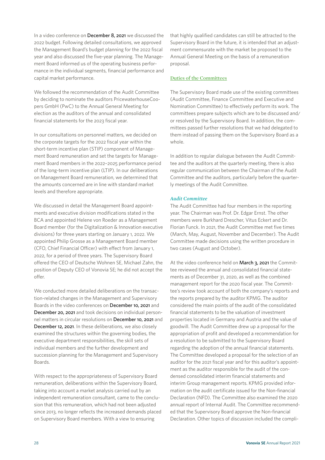In a video conference on December 8, 2021 we discussed the 2022 budget. Following detailed consultations, we approved the Management Board's budget planning for the 2022 fiscal year and also discussed the five-year planning. The Management Board informed us of the operating business performance in the individual segments, financial performance and capital market performance.

We followed the recommendation of the Audit Committee by deciding to nominate the auditors PricewaterhouseCoopers GmbH (PwC) to the Annual General Meeting for election as the auditors of the annual and consolidated financial statements for the 2023 fiscal year.

In our consultations on personnel matters, we decided on the corporate targets for the 2022 fiscal year within the short-term incentive plan (STIP) component of Management Board remuneration and set the targets for Management Board members in the 2022–2025 performance period of the long-term incentive plan (LTIP). In our deliberations on Management Board remuneration, we determined that the amounts concerned are in line with standard market levels and therefore appropriate.

We discussed in detail the Management Board appointments and executive division modifications stated in the BCA and appointed Helene von Roeder as a Management Board member (for the Digitalization & Innovation executive divisions) for three years starting on January 1, 2022. We appointed Philip Grosse as a Management Board member (CFO, Chief Financial Officer) with effect from January 1, 2022, for a period of three years. The Supervisory Board offered the CEO of Deutsche Wohnen SE, Michael Zahn, the position of Deputy CEO of Vonovia SE; he did not accept the offer.

We conducted more detailed deliberations on the transaction-related changes in the Management and Supervisory Boards in the video conferences on December 10, 2021 and December 20, 2021 and took decisions on individual personnel matters in circular resolutions on December 10, 2021 and December 12, 2021. In these deliberations, we also closely examined the structures within the governing bodies, the executive department responsibilities, the skill sets of individual members and the further development and succession planning for the Management and Supervisory Boards.

With respect to the appropriateness of Supervisory Board remuneration, deliberations within the Supervisory Board, taking into account a market analysis carried out by an independent remuneration consultant, came to the conclusion that this remuneration, which had not been adjusted since 2013, no longer reflects the increased demands placed on Supervisory Board members. With a view to ensuring

that highly qualified candidates can still be attracted to the Supervisory Board in the future, it is intended that an adjustment commensurate with the market be proposed to the Annual General Meeting on the basis of a remuneration proposal.

#### **Duties of the Committees**

The Supervisory Board made use of the existing committees (Audit Committee, Finance Committee and Executive and Nomination Committee) to effectively perform its work. The committees prepare subjects which are to be discussed and/ or resolved by the Supervisory Board. In addition, the committees passed further resolutions that we had delegated to them instead of passing them on the Supervisory Board as a whole.

In addition to regular dialogue between the Audit Committee and the auditors at the quarterly meeting, there is also regular communication between the Chairman of the Audit Committee and the auditors, particularly before the quarterly meetings of the Audit Committee.

#### *Audit Committee*

The Audit Committee had four members in the reporting year. The Chairman was Prof. Dr. Edgar Ernst. The other members were Burkhard Drescher, Vitus Eckert and Dr. Florian Funck. In 2021, the Audit Committee met five times (March, May, August, November and December). The Audit Committee made decisions using the written procedure in two cases (August and October).

At the video conference held on March 3, 2021 the Committee reviewed the annual and consolidated financial statements as of December 31, 2020, as well as the combined management report for the 2020 fiscal year. The Committee's review took account of both the company's reports and the reports prepared by the auditor KPMG. The auditor considered the main points of the audit of the consolidated financial statements to be the valuation of investment properties located in Germany and Austria and the value of goodwill. The Audit Committee drew up a proposal for the appropriation of profit and developed a recommendation for a resolution to be submitted to the Supervisory Board regarding the adoption of the annual financial statements. The Committee developed a proposal for the selection of an auditor for the 2021 fiscal year and for this auditor's appointment as the auditor responsible for the audit of the condensed consolidated interim financial statements and interim Group management reports. KPMG provided information on the audit certificate issued for the Non-financial Declaration (NFD). The Committee also examined the 2020 annual report of Internal Audit. The Committee recommended that the Supervisory Board approve the Non-financial Declaration. Other topics of discussion included the compli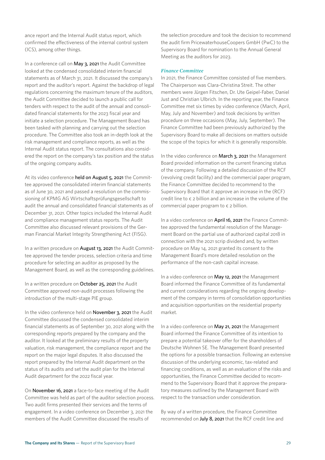ance report and the Internal Audit status report, which confirmed the effectiveness of the internal control system (ICS), among other things. 

In a conference call on May 3, 2021 the Audit Committee looked at the condensed consolidated interim financial statements as of March 31, 2021. It discussed the company's report and the auditor's report. Against the backdrop of legal regulations concerning the maximum tenure of the auditors, the Audit Committee decided to launch a public call for tenders with respect to the audit of the annual and consolidated financial statements for the 2023 fiscal year and initiate a selection procedure. The Management Board has been tasked with planning and carrying out the selection procedure. The Committee also took an in-depth look at the risk management and compliance reports, as well as the Internal Audit status report. The consultations also considered the report on the company's tax position and the status of the ongoing company audits.

At its video conference held on August 5, 2021 the Committee approved the consolidated interim financial statements as of June 30, 2021 and passed a resolution on the commissioning of KPMG AG Wirtschaftsprüfungsgesellschaft to audit the annual and consolidated financial statements as of December 31, 2021. Other topics included the Internal Audit and compliance management status reports. The Audit Committee also discussed relevant provisions of the German Financial Market Integrity Strengthening Act (FISG).

In a written procedure on August 13, 2021 the Audit Committee approved the tender process, selection criteria and time procedure for selecting an auditor as proposed by the Management Board, as well as the corresponding guidelines.

In a written procedure on October 25, 2021 the Audit Committee approved non-audit processes following the introduction of the multi-stage PIE group.

In the video conference held on **November 3, 2021** the Audit Committee discussed the condensed consolidated interim financial statements as of September 30, 2021 along with the corresponding reports prepared by the company and the auditor. It looked at the preliminary results of the property valuation, risk management, the compliance report and the report on the major legal disputes. It also discussed the report prepared by the Internal Audit department on the status of its audits and set the audit plan for the Internal Audit department for the 2022 fiscal year.

On November 16, 2021 a face-to-face meeting of the Audit Committee was held as part of the auditor selection process. Two audit firms presented their services and the terms of engagement. In a video conference on December 3, 2021 the members of the Audit Committee discussed the results of

the selection procedure and took the decision to recommend the audit firm PricewaterhouseCoopers GmbH (PwC) to the Supervisory Board for nomination to the Annual General Meeting as the auditors for 2023.

#### *Finance Committee*

In 2021, the Finance Committee consisted of five members. The Chairperson was Clara-Christina Streit. The other members were Jürgen Fitschen, Dr. Ute Geipel-Faber, Daniel Just and Christian Ulbrich. In the reporting year, the Finance Committee met six times by video conference (March, April, May, July and November) and took decisions by written procedure on three occasions (May, July, September). The Finance Committee had been previously authorized by the Supervisory Board to make all decisions on matters outside the scope of the topics for which it is generally responsible.

In the video conference on March 3, 2021 the Management Board provided information on the current financing status of the company. Following a detailed discussion of the RCF (revolving credit facility) and the commercial paper program, the Finance Committee decided to recommend to the Supervisory Board that it approve an increase in the (RCF) credit line to  $\epsilon$  2 billion and an increase in the volume of the commercial paper program to  $\epsilon$  2 billion.

In a video conference on April 16, 2021 the Finance Committee approved the fundamental resolution of the Management Board on the partial use of authorized capital 2018 in connection with the 2021 scrip dividend and, by written procedure on May 14, 2021 granted its consent to the Management Board's more detailed resolution on the performance of the non-cash capital increase.

In a video conference on May 12, 2021 the Management Board informed the Finance Committee of its fundamental and current considerations regarding the ongoing development of the company in terms of consolidation opportunities and acquisition opportunities on the residential property market.

In a video conference on May 21, 2021 the Management Board informed the Finance Committee of its intention to prepare a potential takeover offer for the shareholders of Deutsche Wohnen SE. The Management Board presented the options for a possible transaction. Following an extensive discussion of the underlying economic, tax-related and financing conditions, as well as an evaluation of the risks and opportunities, the Finance Committee decided to recommend to the Supervisory Board that it approve the preparatory measures outlined by the Management Board with respect to the transaction under consideration.

By way of a written procedure, the Finance Committee recommended on July 8, 2021 that the RCF credit line and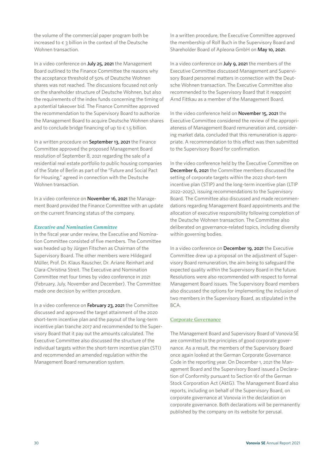the volume of the commercial paper program both be increased to  $\epsilon$  3 billion in the context of the Deutsche Wohnen transaction.

In a video conference on July 25, 2021 the Management Board outlined to the Finance Committee the reasons why the acceptance threshold of 50% of Deutsche Wohnen shares was not reached. The discussions focused not only on the shareholder structure of Deutsche Wohnen, but also the requirements of the index funds concerning the timing of a potential takeover bid. The Finance Committee approved the recommendation to the Supervisory Board to authorize the Management Board to acquire Deutsche Wohnen shares and to conclude bridge financing of up to  $\epsilon$  1.5 billion.

In a written procedure on September 13, 2021 the Finance Committee approved the proposed Management Board resolution of September 8, 2021 regarding the sale of a residential real estate portfolio to public housing companies of the State of Berlin as part of the "Future and Social Pact for Housing," agreed in connection with the Deutsche Wohnen transaction.

In a video conference on November 16, 2021 the Management Board provided the Finance Committee with an update on the current financing status of the company.

#### *Executive and Nomination Committee*

In the fiscal year under review, the Executive and Nomination Committee consisted of five members. The Committee was headed up by Jürgen Fitschen as Chairman of the Supervisory Board. The other members were Hildegard Müller, Prof. Dr. Klaus Rauscher, Dr. Ariane Reinhart and Clara-Christina Streit. The Executive and Nomination Committee met four times by video conference in 2021 (February, July, November and December). The Committee made one decision by written procedure.

In a video conference on February 23, 2021 the Committee discussed and approved the target attainment of the 2020 short-term incentive plan and the payout of the long-term incentive plan tranche 2017 and recommended to the Supervisory Board that it pay out the amounts calculated. The Executive Committee also discussed the structure of the individual targets within the short-term incentive plan (STI) and recommended an amended regulation within the Management Board remuneration system.

In a written procedure, the Executive Committee approved the membership of Rolf Buch in the Supervisory Board and Shareholder Board of Apleona GmbH on May 10, 2021.

In a video conference on **July 9, 2021** the members of the Executive Committee discussed Management and Supervisory Board personnel matters in connection with the Deutsche Wohnen transaction. The Executive Committee also recommended to the Supervisory Board that it reappoint Arnd Fittkau as a member of the Management Board.

In the video conference held on November 15, 2021 the Executive Committee considered the review of the appropriateness of Management Board remuneration and, considering market data, concluded that this remuneration is appropriate. A recommendation to this effect was then submitted to the Supervisory Board for confirmation.

In the video conference held by the Executive Committee on December 6, 2021 the Committee members discussed the setting of corporate targets within the 2022 short-term incentive plan (STIP) and the long-term incentive plan (LTIP 2022–2025), issuing recommendations to the Supervisory Board. The Committee also discussed and made recommendations regarding Management Board appointments and the allocation of executive responsibility following completion of the Deutsche Wohnen transaction. The Committee also deliberated on governance-related topics, including diversity within governing bodies.

In a video conference on December 19, 2021 the Executive Committee drew up a proposal on the adjustment of Supervisory Board remuneration, the aim being to safeguard the expected quality within the Supervisory Board in the future. Resolutions were also recommended with respect to formal Management Board issues. The Supervisory Board members also discussed the options for implementing the inclusion of two members in the Supervisory Board, as stipulated in the BCA.

#### **Corporate Governance**

The Management Board and Supervisory Board of Vonovia SE are committed to the principles of good corporate governance. As a result, the members of the Supervisory Board once again looked at the German Corporate Governance Code in the reporting year. On December 1, 2021 the Management Board and the Supervisory Board issued a Declaration of Conformity pursuant to Section 161 of the German Stock Corporation Act (AktG). The Management Board also reports, including on behalf of the Supervisory Board, on corporate governance at Vonovia in the declaration on corporate governance. Both declarations will be permanently published by the company on its website for perusal.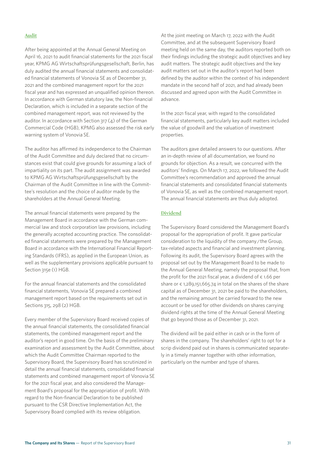#### **Audit**

After being appointed at the Annual General Meeting on April 16, 2021 to audit financial statements for the 2021 fiscal year, KPMG AG Wirtschaftsprüfungsgesellschaft, Berlin, has duly audited the annual financial statements and consolidated financial statements of Vonovia SE as of December 31, 2021 and the combined management report for the 2021 fiscal year and has expressed an unqualified opinion thereon. In accordance with German statutory law, the Non-financial Declaration, which is included in a separate section of the combined management report, was not reviewed by the auditor. In accordance with Section 317 (4) of the German Commercial Code (HGB), KPMG also assessed the risk early warning system of Vonovia SE.

The auditor has affirmed its independence to the Chairman of the Audit Committee and duly declared that no circumstances exist that could give grounds for assuming a lack of impartiality on its part. The audit assignment was awarded to KPMG AG Wirtschaftsprüfungsgesellschaft by the Chairman of the Audit Committee in line with the Committee's resolution and the choice of auditor made by the shareholders at the Annual General Meeting.

The annual financial statements were prepared by the Management Board in accordance with the German commercial law and stock corporation law provisions, including the generally accepted accounting practice. The consolidated financial statements were prepared by the Management Board in accordance with the International Financial Reporting Standards (IFRS), as applied in the European Union, as well as the supplementary provisions applicable pursuant to Section 315e (1) HGB.

For the annual financial statements and the consolidated financial statements, Vonovia SE prepared a combined management report based on the requirements set out in Sections 315, 298 (2) HGB.

Every member of the Supervisory Board received copies of the annual financial statements, the consolidated financial statements, the combined management report and the auditor's report in good time. On the basis of the preliminary examination and assessment by the Audit Committee, about which the Audit Committee Chairman reported to the Supervisory Board, the Supervisory Board has scrutinized in detail the annual financial statements, consolidated financial statements and combined management report of Vonovia SE for the 2021 fiscal year, and also considered the Management Board's proposal for the appropriation of profit. With regard to the Non-financial Declaration to be published pursuant to the CSR Directive Implementation Act, the Supervisory Board complied with its review obligation.

At the joint meeting on March 17, 2022 with the Audit Committee, and at the subsequent Supervisory Board meeting held on the same day, the auditors reported both on their findings including the strategic audit objectives and key audit matters. The strategic audit objectives and the key audit matters set out in the auditor's report had been defined by the auditor within the context of his independent mandate in the second half of 2021, and had already been discussed and agreed upon with the Audit Committee in advance.

In the 2021 fiscal year, with regard to the consolidated financial statements, particularly key audit matters included the value of goodwill and the valuation of investment properties.

The auditors gave detailed answers to our questions. After an in-depth review of all documentation, we found no grounds for objection. As a result, we concurred with the auditors' findings. On March 17, 2022, we followed the Audit Committee's recommendation and approved the annual financial statements and consolidated financial statements of Vonovia SE, as well as the combined management report. The annual financial statements are thus duly adopted.

#### **Dividend**

The Supervisory Board considered the Management Board's proposal for the appropriation of profit. It gave particular consideration to the liquidity of the company / the Group, tax-related aspects and financial and investment planning. Following its audit, the Supervisory Board agrees with the proposal set out by the Management Board to be made to the Annual General Meeting, namely the proposal that, from the profit for the 2021 fiscal year, a dividend of  $\epsilon$  1.66 per share or  $\epsilon$  1,289,151,665.74 in total on the shares of the share capital as of December 31, 2021 be paid to the shareholders, and the remaining amount be carried forward to the new account or be used for other dividends on shares carrying dividend rights at the time of the Annual General Meeting that go beyond those as of December 31, 2021.

The dividend will be paid either in cash or in the form of shares in the company. The shareholders' right to opt for a scrip dividend paid out in shares is communicated separately in a timely manner together with other information, particularly on the number and type of shares.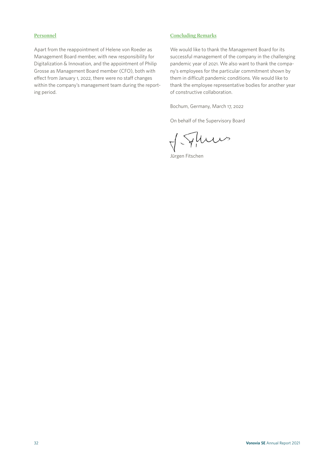#### **Personnel**

Apart from the reappointment of Helene von Roeder as Management Board member, with new responsibility for Digitalization & Innovation, and the appointment of Philip Grosse as Management Board member (CFO), both with effect from January 1, 2022, there were no staff changes within the company's management team during the reporting period.

#### **Concluding Remarks**

We would like to thank the Management Board for its successful management of the company in the challenging pandemic year of 2021. We also want to thank the company's employees for the particular commitment shown by them in difficult pandemic conditions. We would like to thank the employee representative bodies for another year of constructive collaboration.

Bochum, Germany, March 17, 2022

On behalf of the Supervisory Board

J. Fluws

Jürgen Fitschen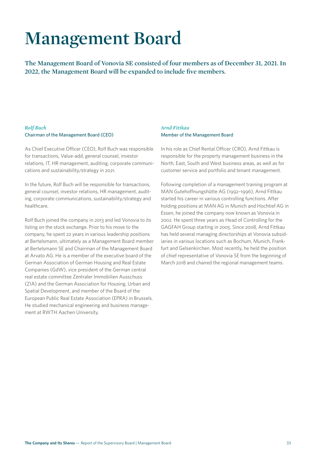## **Management Board**

**The Management Board of Vonovia SE consisted of four members as of December 31, 2021. In 2022, the Management Board will be expanded to include five members.**

#### *Rolf Buch*  Chairman of the Management Board (CEO)

As Chief Executive Officer (CEO), Rolf Buch was responsible for transactions, Value-add, general counsel, investor relations, IT, HR management, auditing, corporate communications and sustainability/strategy in 2021.

In the future, Rolf Buch will be responsible for transactions, general counsel, investor relations, HR management, auditing, corporate communications, sustainability/strategy and healthcare.

Rolf Buch joined the company in 2013 and led Vonovia to its listing on the stock exchange. Prior to his move to the company, he spent 22 years in various leadership positions at Bertelsmann, ultimately as a Management Board member at Bertelsmann SE and Chairman of the Management Board at Arvato AG. He is a member of the executive board of the German Association of German Housing and Real Estate Companies (GdW), vice president of the German central real estate committee Zentraler Immobilien Ausschuss (ZIA) and the German Association for Housing, Urban and Spatial Development, and member of the Board of the European Public Real Estate Association (EPRA) in Brussels. He studied mechanical engineering and business management at RWTH Aachen University.

#### *Arnd Fittkau*  Member of the Management Board

In his role as Chief Rental Officer (CRO), Arnd Fittkau is responsible for the property management business in the North, East, South and West business areas, as well as for customer service and portfolio and tenant management.

Following completion of a management training program at MAN Gutehoffnungshütte AG (1992–1996), Arnd Fittkau started his career in various controlling functions. After holding positions at MAN AG in Munich and Hochtief AG in Essen, he joined the company now known as Vonovia in 2002. He spent three years as Head of Controlling for the GAGFAH Group starting in 2005. Since 2008, Arnd Fittkau has held several managing directorships at Vonovia subsidiaries in various locations such as Bochum, Munich, Frankfurt and Gelsenkirchen. Most recently, he held the position of chief representative of Vonovia SE from the beginning of March 2018 and chaired the regional management teams.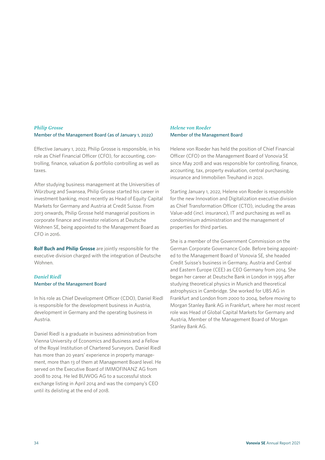#### *Philip Grosse* Member of the Management Board (as of January 1, 2022)

Effective January 1, 2022, Philip Grosse is responsible, in his role as Chief Financial Officer (CFO), for accounting, controlling, finance, valuation & portfolio controlling as well as taxes.

After studying business management at the Universities of Würzburg and Swansea, Philip Grosse started his career in investment banking, most recently as Head of Equity Capital Markets for Germany and Austria at Credit Suisse. From 2013 onwards, Philip Grosse held managerial positions in corporate finance and investor relations at Deutsche Wohnen SE, being appointed to the Management Board as CFO in 2016.

**Rolf Buch and Philip Grosse** are jointly responsible for the executive division charged with the integration of Deutsche Wohnen.

#### *Daniel Riedl*  Member of the Management Board

In his role as Chief Development Officer (CDO), Daniel Riedl is responsible for the development business in Austria, development in Germany and the operating business in Austria.

Daniel Riedl is a graduate in business administration from Vienna University of Economics and Business and a Fellow of the Royal Institution of Chartered Surveyors. Daniel Riedl has more than 20 years' experience in property management, more than 13 of them at Management Board level. He served on the Executive Board of IMMOFINANZ AG from 2008 to 2014. He led BUWOG AG to a successful stock exchange listing in April 2014 and was the company's CEO until its delisting at the end of 2018.

#### *Helene von Roeder* Member of the Management Board

Helene von Roeder has held the position of Chief Financial Officer (CFO) on the Management Board of Vonovia SE since May 2018 and was responsible for controlling, finance, accounting, tax, property evaluation, central purchasing, insurance and Immobilien Treuhand in 2021.

Starting January 1, 2022, Helene von Roeder is responsible for the new Innovation and Digitalization executive division as Chief Transformation Officer (CTO), including the areas Value-add (incl. insurance), IT and purchasing as well as condominium administration and the management of properties for third parties.

She is a member of the Government Commission on the German Corporate Governance Code. Before being appointed to the Management Board of Vonovia SE, she headed Credit Suisse's business in Germany, Austria and Central and Eastern Europe (CEE) as CEO Germany from 2014. She began her career at Deutsche Bank in London in 1995 after studying theoretical physics in Munich and theoretical astrophysics in Cambridge. She worked for UBS AG in Frankfurt and London from 2000 to 2004, before moving to Morgan Stanley Bank AG in Frankfurt, where her most recent role was Head of Global Capital Markets for Germany and Austria, Member of the Management Board of Morgan Stanley Bank AG.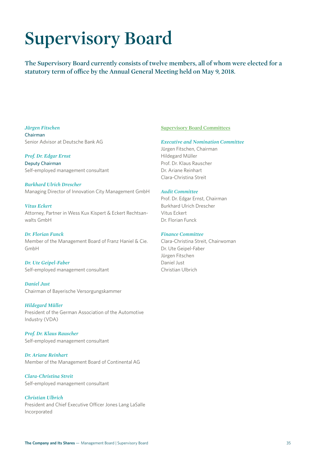## **Supervisory Board**

**The Supervisory Board currently consists of twelve members, all of whom were elected for a statutory term of office by the Annual General Meeting held on May 9, 2018.**

#### *Jürgen Fitschen*

Chairman Senior Advisor at Deutsche Bank AG

*Prof. Dr. Edgar Ernst* Deputy Chairman Self-employed management consultant

*Burkhard Ulrich Drescher* Managing Director of Innovation City Management GmbH

*Vitus Eckert* Attorney, Partner in Wess Kux Kispert & Eckert Rechtsanwalts GmbH

*Dr. Florian Funck* Member of the Management Board of Franz Haniel & Cie. GmbH

*Dr. Ute Geipel-Faber* Self-employed management consultant

*Daniel Just* Chairman of Bayerische Versorgungskammer

*Hildegard Müller* President of the German Association of the Automotive Industry (VDA)

*Prof. Dr. Klaus Rauscher* Self-employed management consultant

*Dr. Ariane Reinhart*  Member of the Management Board of Continental AG

*Clara-Christina Streit* Self-employed management consultant

*Christian Ulbrich*  President and Chief Executive Officer Jones Lang LaSalle Incorporated

#### **Supervisory Board Committees**

#### *Executive and Nomination Committee*

Jürgen Fitschen, Chairman Hildegard Müller Prof. Dr. Klaus Rauscher Dr. Ariane Reinhart Clara-Christina Streit

#### *Audit Committee*

Prof. Dr. Edgar Ernst, Chairman Burkhard Ulrich Drescher Vitus Eckert Dr. Florian Funck

#### *Finance Committee*

Clara-Christina Streit, Chairwoman Dr. Ute Geipel-Faber Jürgen Fitschen Daniel Just Christian Ulbrich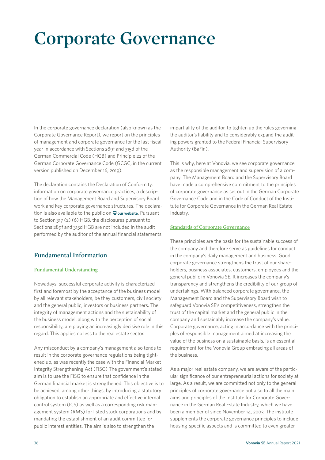## **Corporate Governance**

In the corporate governance declaration (also known as the Corporate Governance Report), we report on the principles of management and corporate governance for the last fiscal year in accordance with Sections 289f and 315d of the German Commercial Code (HGB) and Principle 22 of the German Corporate Governance Code (GCGC, in the current version published on December 16, 2019).

The declaration contains the Declaration of Conformity, information on corporate governance practices, a description of how the Management Board and Supervisory Board work and key corporate governance structures. The declaration is also available to the public on  $\Box$  [our website](https://www.vonovia.de/en). Pursuant to Section 317 (2) (6) HGB, the disclosures pursuant to Sections 289f and 315d HGB are not included in the audit performed by the auditor of the annual financial statements.

#### **Fundamental Information**

#### **Fundamental Understanding**

Nowadays, successful corporate activity is characterized first and foremost by the acceptance of the business model by all relevant stakeholders, be they customers, civil society and the general public, investors or business partners. The integrity of management actions and the sustainability of the business model, along with the perception of social responsibility, are playing an increasingly decisive role in this regard. This applies no less to the real estate sector.

Any misconduct by a company's management also tends to result in the corporate governance regulations being tightened up, as was recently the case with the Financial Market Integrity Strengthening Act (FISG) The government's stated aim is to use the FISG to ensure that confidence in the German financial market is strengthened. This objective is to be achieved, among other things, by introducing a statutory obligation to establish an appropriate and effective internal control system (ICS) as well as a corresponding risk management system (RMS) for listed stock corporations and by mandating the establishment of an audit committee for public interest entities. The aim is also to strengthen the

impartiality of the auditor, to tighten up the rules governing the auditor's liability and to considerably expand the auditing powers granted to the Federal Financial Supervisory Authority (BaFin).

This is why, here at Vonovia, we see corporate governance as the responsible management and supervision of a company. The Management Board and the Supervisory Board have made a comprehensive commitment to the principles of corporate governance as set out in the German Corporate Governance Code and in the Code of Conduct of the Institute for Corporate Governance in the German Real Estate Industry.

#### **Standards of Corporate Governance**

These principles are the basis for the sustainable success of the company and therefore serve as guidelines for conduct in the company's daily management and business. Good corporate governance strengthens the trust of our shareholders, business associates, customers, employees and the general public in Vonovia SE. It increases the company's transparency and strengthens the credibility of our group of undertakings. With balanced corporate governance, the Management Board and the Supervisory Board wish to safeguard Vonovia SE's competitiveness, strengthen the trust of the capital market and the general public in the company and sustainably increase the company's value. Corporate governance, acting in accordance with the principles of responsible management aimed at increasing the value of the business on a sustainable basis, is an essential requirement for the Vonovia Group embracing all areas of the business.

As a major real estate company, we are aware of the particular significance of our entrepreneurial actions for society at large. As a result, we are committed not only to the general principles of corporate governance but also to all the main aims and principles of the Institute for Corporate Governance in the German Real Estate Industry, which we have been a member of since November 14, 2003. The institute supplements the corporate governance principles to include housing-specific aspects and is committed to even greater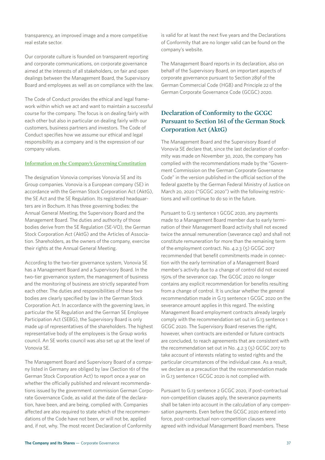transparency, an improved image and a more competitive real estate sector.

Our corporate culture is founded on transparent reporting and corporate communications, on corporate governance aimed at the interests of all stakeholders, on fair and open dealings between the Management Board, the Supervisory Board and employees as well as on compliance with the law.

The Code of Conduct provides the ethical and legal framework within which we act and want to maintain a successful course for the company. The focus is on dealing fairly with each other but also in particular on dealing fairly with our customers, business partners and investors. The Code of Conduct specifies how we assume our ethical and legal responsibility as a company and is the expression of our company values.

#### **Information on the Company's Governing Constitution**

The designation Vonovia comprises Vonovia SE and its Group companies. Vonovia is a European company (SE) in accordance with the German Stock Corporation Act (AktG), the SE Act and the SE Regulation. Its registered headquarters are in Bochum. It has three governing bodies: the Annual General Meeting, the Supervisory Board and the Management Board. The duties and authority of those bodies derive from the SE Regulation (SE-VO), the German Stock Corporation Act (AktG) and the Articles of Association. Shareholders, as the owners of the company, exercise their rights at the Annual General Meeting.

According to the two-tier governance system, Vonovia SE has a Management Board and a Supervisory Board. In the two-tier governance system, the management of business and the monitoring of business are strictly separated from each other. The duties and responsibilities of these two bodies are clearly specified by law in the German Stock Corporation Act. In accordance with the governing laws, in particular the SE Regulation and the German SE Employee Participation Act (SEBG), the Supervisory Board is only made up of representatives of the shareholders. The highest representative body of the employees is the Group works council. An SE works council was also set up at the level of Vonovia SE.

The Management Board and Supervisory Board of a company listed in Germany are obliged by law (Section 161 of the German Stock Corporation Act) to report once a year on whether the officially published and relevant recommendations issued by the government commission German Corporate Governance Code, as valid at the date of the declaration, have been, and are being, complied with. Companies affected are also required to state which of the recommendations of the Code have not been, or will not be, applied and, if not, why. The most recent Declaration of Conformity

is valid for at least the next five years and the Declarations of Conformity that are no longer valid can be found on the company's website.

The Management Board reports in its declaration, also on behalf of the Supervisory Board, on important aspects of corporate governance pursuant to Section 289f of the German Commercial Code (HGB) and Principle 22 of the German Corporate Governance Code (GCGC) 2020.

### **Declaration of Conformity to the GCGC Pursuant to Section 161 of the German Stock Corporation Act (AktG)**

The Management Board and the Supervisory Board of Vonovia SE declare that, since the last declaration of conformity was made on November 30, 2020, the company has complied with the recommendations made by the "Government Commission on the German Corporate Governance Code" in the version published in the official section of the federal gazette by the German Federal Ministry of Justice on March 20, 2020 ("GCGC 2020") with the following restrictions and will continue to do so in the future.

Pursuant to G.13 sentence 1 GCGC 2020, any payments made to a Management Board member due to early termination of their Management Board activity shall not exceed twice the annual remuneration (severance cap) and shall not constitute remuneration for more than the remaining term of the employment contract. No. 4.2.3 (5) GCGC 2017 recommended that benefit commitments made in connection with the early termination of a Management Board member's activity due to a change of control did not exceed 150% of the severance cap. The GCGC 2020 no longer contains any explicit recommendation for benefits resulting from a change of control. It is unclear whether the general recommendation made in G.13 sentence 1 GCGC 2020 on the severance amount applies in this regard. The existing Management Board employment contracts already largely comply with the recommendation set out in G.13 sentence 1 GCGC 2020. The Supervisory Board reserves the right, however, when contracts are extended or future contracts are concluded, to reach agreements that are consistent with the recommendation set out in No. 4.2.3 (5) GCGC 2017 to take account of interests relating to vested rights and the particular circumstances of the individual case. As a result, we declare as a precaution that the recommendation made in G.13 sentence 1 GCGC 2020 is not complied with.

Pursuant to G.13 sentence 2 GCGC 2020, if post-contractual non-competition clauses apply, the severance payments shall be taken into account in the calculation of any compensation payments. Even before the GCGC 2020 entered into force, post-contractual non-competition clauses were agreed with individual Management Board members. These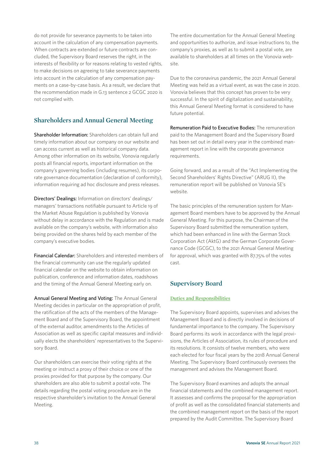do not provide for severance payments to be taken into account in the calculation of any compensation payments. When contracts are extended or future contracts are concluded, the Supervisory Board reserves the right, in the interests of flexibility or for reasons relating to vested rights, to make decisions on agreeing to take severance payments into account in the calculation of any compensation payments on a case-by-case basis. As a result, we declare that the recommendation made in G.13 sentence 2 GCGC 2020 is not complied with.

### **Shareholders and Annual General Meeting**

Shareholder Information: Shareholders can obtain full and timely information about our company on our website and can access current as well as historical company data. Among other information on its website, Vonovia regularly posts all financial reports, important information on the company's governing bodies (including resumes), its corporate governance documentation (declaration of conformity), information requiring ad hoc disclosure and press releases.

Directors' Dealings: Information on directors' dealings/ managers' transactions notifiable pursuant to Article 19 of the Market Abuse Regulation is published by Vonovia without delay in accordance with the Regulation and is made available on the company's website, with information also being provided on the shares held by each member of the company's executive bodies.

Financial Calendar: Shareholders and interested members of the financial community can use the regularly updated financial calendar on the website to obtain information on publication, conference and information dates, roadshows and the timing of the Annual General Meeting early on.

Annual General Meeting and Voting: The Annual General Meeting decides in particular on the appropriation of profit, the ratification of the acts of the members of the Management Board and of the Supervisory Board, the appointment of the external auditor, amendments to the Articles of Association as well as specific capital measures and individually elects the shareholders' representatives to the Supervisory Board.

Our shareholders can exercise their voting rights at the meeting or instruct a proxy of their choice or one of the proxies provided for that purpose by the company. Our shareholders are also able to submit a postal vote. The details regarding the postal voting procedure are in the respective shareholder's invitation to the Annual General Meeting.

The entire documentation for the Annual General Meeting and opportunities to authorize, and issue instructions to, the company's proxies, as well as to submit a postal vote, are available to shareholders at all times on the Vonovia website.

Due to the coronavirus pandemic, the 2021 Annual General Meeting was held as a virtual event, as was the case in 2020. Vonovia believes that this concept has proven to be very successful. In the spirit of digitalization and sustainability, this Annual General Meeting format is considered to have future potential.

Remuneration Paid to Executive Bodies: The remuneration paid to the Management Board and the Supervisory Board has been set out in detail every year in the combined management report in line with the corporate governance requirements.

Going forward, and as a result of the "Act Implementing the Second Shareholders' Rights Directive" (ARUG II), the remuneration report will be published on Vonovia SE's website.

The basic principles of the remuneration system for Management Board members have to be approved by the Annual General Meeting. For this purpose, the Chairman of the Supervisory Board submitted the remuneration system, which had been enhanced in line with the German Stock Corporation Act (AktG) and the German Corporate Governance Code (GCGC), to the 2021 Annual General Meeting for approval, which was granted with 87.75% of the votes cast.

### **Supervisory Board**

#### **Duties and Responsibilities**

The Supervisory Board appoints, supervises and advises the Management Board and is directly involved in decisions of fundamental importance to the company. The Supervisory Board performs its work in accordance with the legal provisions, the Articles of Association, its rules of procedure and its resolutions. It consists of twelve members, who were each elected for four fiscal years by the 2018 Annual General Meeting. The Supervisory Board continuously oversees the management and advises the Management Board.

The Supervisory Board examines and adopts the annual financial statements and the combined management report. It assesses and confirms the proposal for the appropriation of profit as well as the consolidated financial statements and the combined management report on the basis of the report prepared by the Audit Committee. The Supervisory Board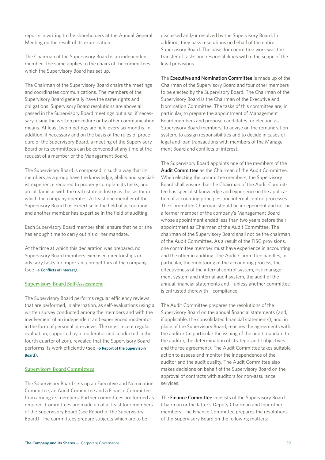The Chairman of the Supervisory Board is an independent member. The same applies to the chairs of the committees which the Supervisory Board has set up.

The Chairman of the Supervisory Board chairs the meetings and coordinates communications. The members of the Supervisory Board generally have the same rights and obligations. Supervisory Board resolutions are above all passed in the Supervisory Board meetings but also, if necessary, using the written procedure or by other communication means. At least two meetings are held every six months. In addition, if necessary and on the basis of the rules of procedure of the Supervisory Board, a meeting of the Supervisory Board or its committees can be convened at any time at the request of a member or the Management Board.

The Supervisory Board is composed in such a way that its members as a group have the knowledge, ability and specialist experience required to properly complete its tasks, and are all familiar with the real estate industry as the sector in which the company operates. At least one member of the Supervisory Board has expertise in the field of accounting and another member has expertise in the field of auditing.

Each Supervisory Board member shall ensure that he or she has enough time to carry out his or her mandate.

At the time at which this declaration was prepared, no Supervisory Board members exercised directorships or advisory tasks for important competitors of the company  $(see  $\rightarrow$  Conflicts of Interest).$ 

#### **Supervisory Board Self-Assessment**

The Supervisory Board performs regular efficiency reviews that are performed, in alternation, as self-evaluations using a written survey conducted among the members and with the involvement of an independent and experienced moderator in the form of personal interviews. The most recent regular evaluation, supported by a moderator and conducted in the fourth quarter of 2019, revealed that the Supervisory Board performs its work efficiently (see  $\rightarrow$  Report of the Supervisory **Board**).

#### **Supervisory Board Committees**

The Supervisory Board sets up an Executive and Nomination Committee, an Audit Committee and a Finance Committee from among its members. Further committees are formed as required. Committees are made up of at least four members of the Supervisory Board (see Report of the Supervisory Board). The committees prepare subjects which are to be

discussed and/or resolved by the Supervisory Board. In addition, they pass resolutions on behalf of the entire Supervisory Board. The basis for committee work was the transfer of tasks and responsibilities within the scope of the legal provisions.

The Executive and Nomination Committee is made up of the Chairman of the Supervisory Board and four other members to be elected by the Supervisory Board. The Chairman of the Supervisory Board is the Chairman of the Executive and Nomination Committee. The tasks of this committee are, in particular, to prepare the appointment of Management Board members and propose candidates for election as Supervisory Board members, to advise on the remuneration system, to assign responsibilities and to decide in cases of legal and loan transactions with members of the Management Board and conflicts of interest.

The Supervisory Board appoints one of the members of the Audit Committee as the Chairman of the Audit Committee. When electing the committee members, the Supervisory Board shall ensure that the Chairman of the Audit Committee has specialist knowledge and experience in the application of accounting principles and internal control processes. The Committee Chairman should be independent and not be a former member of the company's Management Board whose appointment ended less than two years before their appointment as Chairman of the Audit Committee. The chairman of the Supervisory Board shall not be the chairman of the Audit Committee. As a result of the FISG provisions, one committee member must have experience in accounting and the other in auditing. The Audit Committee handles, in particular, the monitoring of the accounting process, the effectiveness of the internal control system, risk management system and internal audit system, the audit of the annual financial statements and – unless another committee is entrusted therewith – compliance.

The Audit Committee prepares the resolutions of the Supervisory Board on the annual financial statements (and, if applicable, the consolidated financial statements), and, in place of the Supervisory Board, reaches the agreements with the auditor (in particular the issuing of the audit mandate to the auditor, the determination of strategic audit objectives and the fee agreement). The Audit Committee takes suitable action to assess and monitor the independence of the auditor and the audit quality. The Audit Committee also makes decisions on behalf of the Supervisory Board on the approval of contracts with auditors for non-assurance services.

The Finance Committee consists of the Supervisory Board Chairman or the latter's Deputy Chairman and four other members. The Finance Committee prepares the resolutions of the Supervisory Board on the following matters: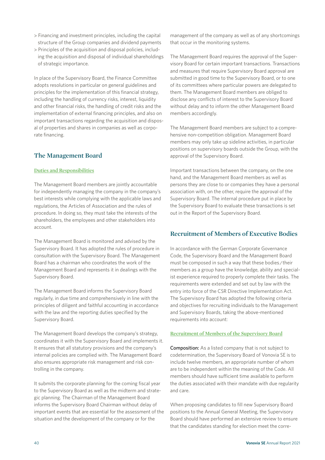- > Financing and investment principles, including the capital structure of the Group companies and dividend payments
- > Principles of the acquisition and disposal policies, including the acquisition and disposal of individual shareholdings of strategic importance.

In place of the Supervisory Board, the Finance Committee adopts resolutions in particular on general guidelines and principles for the implementation of this financial strategy, including the handling of currency risks, interest, liquidity and other financial risks, the handling of credit risks and the implementation of external financing principles, and also on important transactions regarding the acquisition and disposal of properties and shares in companies as well as corporate financing.

#### **The Management Board**

#### **Duties and Responsibilities**

The Management Board members are jointly accountable for independently managing the company in the company's best interests while complying with the applicable laws and regulations, the Articles of Association and the rules of procedure. In doing so, they must take the interests of the shareholders, the employees and other stakeholders into account.

The Management Board is monitored and advised by the Supervisory Board. It has adopted the rules of procedure in consultation with the Supervisory Board. The Management Board has a chairman who coordinates the work of the Management Board and represents it in dealings with the Supervisory Board.

The Management Board informs the Supervisory Board regularly, in due time and comprehensively in line with the principles of diligent and faithful accounting in accordance with the law and the reporting duties specified by the Supervisory Board.

The Management Board develops the company's strategy, coordinates it with the Supervisory Board and implements it. It ensures that all statutory provisions and the company's internal policies are complied with. The Management Board also ensures appropriate risk management and risk controlling in the company.

It submits the corporate planning for the coming fiscal year to the Supervisory Board as well as the midterm and strategic planning. The Chairman of the Management Board informs the Supervisory Board Chairman without delay of important events that are essential for the assessment of the situation and the development of the company or for the

management of the company as well as of any shortcomings that occur in the monitoring systems.

The Management Board requires the approval of the Supervisory Board for certain important transactions. Transactions and measures that require Supervisory Board approval are submitted in good time to the Supervisory Board, or to one of its committees where particular powers are delegated to them. The Management Board members are obliged to disclose any conflicts of interest to the Supervisory Board without delay and to inform the other Management Board members accordingly.

The Management Board members are subject to a comprehensive non-competition obligation. Management Board members may only take up sideline activities, in particular positions on supervisory boards outside the Group, with the approval of the Supervisory Board.

Important transactions between the company, on the one hand, and the Management Board members as well as persons they are close to or companies they have a personal association with, on the other, require the approval of the Supervisory Board. The internal procedure put in place by the Supervisory Board to evaluate these transactions is set out in the Report of the Supervisory Board.

#### **Recruitment of Members of Executive Bodies**

In accordance with the German Corporate Governance Code, the Supervisory Board and the Management Board must be composed in such a way that these bodies / their members as a group have the knowledge, ability and specialist experience required to properly complete their tasks. The requirements were extended and set out by law with the entry into force of the CSR Directive Implementation Act. The Supervisory Board has adopted the following criteria and objectives for recruiting individuals to the Management and Supervisory Boards, taking the above-mentioned requirements into account:

#### **Recruitment of Members of the Supervisory Board**

Composition: As a listed company that is not subject to codetermination, the Supervisory Board of Vonovia SE is to include twelve members, an appropriate number of whom are to be independent within the meaning of the Code. All members should have sufficient time available to perform the duties associated with their mandate with due regularity and care.

When proposing candidates to fill new Supervisory Board positions to the Annual General Meeting, the Supervisory Board should have performed an extensive review to ensure that the candidates standing for election meet the corre-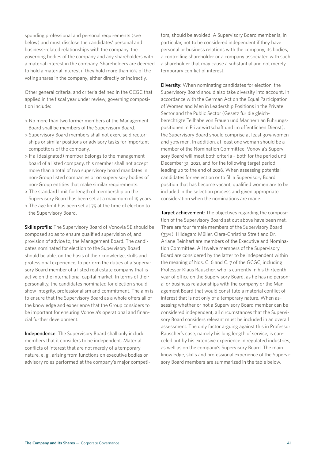sponding professional and personal requirements (see below) and must disclose the candidates' personal and business-related relationships with the company, the governing bodies of the company and any shareholders with a material interest in the company. Shareholders are deemed to hold a material interest if they hold more than 10% of the voting shares in the company, either directly or indirectly.

Other general criteria, and criteria defined in the GCGC that applied in the fiscal year under review, governing composition include:

- > No more than two former members of the Management Board shall be members of the Supervisory Board.
- > Supervisory Board members shall not exercise directorships or similar positions or advisory tasks for important competitors of the company.
- > If a (designated) member belongs to the management board of a listed company, this member shall not accept more than a total of two supervisory board mandates in non-Group listed companies or on supervisory bodies of non-Group entities that make similar requirements.
- > The standard limit for length of membership on the Supervisory Board has been set at a maximum of 15 years.
- > The age limit has been set at 75 at the time of election to the Supervisory Board.

Skills profile: The Supervisory Board of Vonovia SE should be composed so as to ensure qualified supervision of, and provision of advice to, the Management Board. The candidates nominated for election to the Supervisory Board should be able, on the basis of their knowledge, skills and professional experience, to perform the duties of a Supervisory Board member of a listed real estate company that is active on the international capital market. In terms of their personality, the candidates nominated for election should show integrity, professionalism and commitment. The aim is to ensure that the Supervisory Board as a whole offers all of the knowledge and experience that the Group considers to be important for ensuring Vonovia's operational and financial further development.

Independence: The Supervisory Board shall only include members that it considers to be independent. Material conflicts of interest that are not merely of a temporary nature, e. g., arising from functions on executive bodies or advisory roles performed at the company's major competitors, should be avoided. A Supervisory Board member is, in particular, not to be considered independent if they have personal or business relations with the company, its bodies, a controlling shareholder or a company associated with such a shareholder that may cause a substantial and not merely temporary conflict of interest.

Diversity: When nominating candidates for election, the Supervisory Board should also take diversity into account. In accordance with the German Act on the Equal Participation of Women and Men in Leadership Positions in the Private Sector and the Public Sector (Gesetz für die gleichberechtigte Teilhabe von Frauen und Männern an Führungspositionen in Privatwirtschaft und im öffentlichen Dienst), the Supervisory Board should comprise at least 30% women and 30% men. In addition, at least one woman should be a member of the Nomination Committee. Vonovia's Supervisory Board will meet both criteria – both for the period until December 31, 2021, and for the following target period leading up to the end of 2026. When assessing potential candidates for reelection or to fill a Supervisory Board position that has become vacant, qualified women are to be included in the selection process and given appropriate consideration when the nominations are made.

Target achievement: The objectives regarding the composition of the Supervisory Board set out above have been met. There are four female members of the Supervisory Board (33%). Hildegard Müller, Clara-Christina Streit and Dr. Ariane Reinhart are members of the Executive and Nomination Committee. All twelve members of the Supervisory Board are considered by the latter to be independent within the meaning of Nos. C. 6 and C. 7 of the GCGC, including Professor Klaus Rauscher, who is currently in his thirteenth year of office on the Supervisory Board, as he has no personal or business relationships with the company or the Management Board that would constitute a material conflict of interest that is not only of a temporary nature. When assessing whether or not a Supervisory Board member can be considered independent, all circumstances that the Supervisory Board considers relevant must be included in an overall assessment. The only factor arguing against this in Professor Rauscher's case, namely his long length of service, is canceled out by his extensive experience in regulated industries, as well as on the company's Supervisory Board. The main knowledge, skills and professional experience of the Supervisory Board members are summarized in the table below.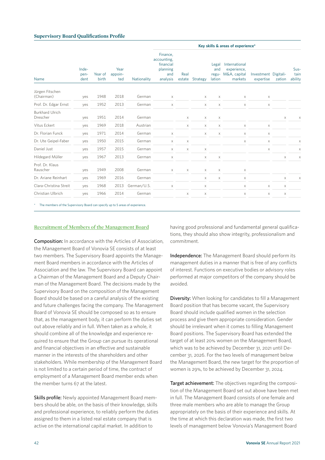#### **Supervisory Board Qualifications Profile**

|                                                                             |             |                                                                     |                |             |                                 |                                                         |                                   |             | Key skills & areas of experience* |             |   |   |
|-----------------------------------------------------------------------------|-------------|---------------------------------------------------------------------|----------------|-------------|---------------------------------|---------------------------------------------------------|-----------------------------------|-------------|-----------------------------------|-------------|---|---|
| Inde-<br>Year<br>Year of<br>appoin-<br>pen-<br>birth<br>Name<br>dent<br>ted | Nationality | Finance,<br>accounting,<br>financial<br>planning<br>and<br>analysis | Real<br>estate | Strategy    | Legal<br>and<br>regu-<br>lation | International<br>experience,<br>M&A, capital<br>markets | Investment Digitali-<br>expertise | zation      | Sus-<br>tain<br>ability           |             |   |   |
| Jürgen Fitschen<br>(Chairman)                                               | yes         | 1948                                                                | 2018           | German      | X                               |                                                         | X                                 | X           | X                                 | X           |   |   |
| Prof. Dr. Edgar Ernst                                                       | yes         | 1952                                                                | 2013           | German      | $\times$                        |                                                         | X                                 | X           | $\times$                          | X           |   |   |
| <b>Burkhard Ulrich</b><br>Drescher                                          | yes         | 1951                                                                | 2014           | German      |                                 | X                                                       | X                                 | X           |                                   |             | X | X |
| Vitus Eckert                                                                | yes         | 1969                                                                | 2018           | Austrian    |                                 | X                                                       | X                                 | X           | X                                 | X           |   |   |
| Dr. Florian Funck                                                           | yes         | 1971                                                                | 2014           | German      | $\times$                        |                                                         | X                                 | $\mathsf X$ | $\times$                          | $\mathsf X$ |   |   |
| Dr. Ute Geipel-Faber                                                        | yes         | 1950                                                                | 2015           | German      | $\times$                        | $\mathsf X$                                             |                                   |             | $\times$                          | $\mathsf X$ |   | X |
| Daniel Just                                                                 | yes         | 1957                                                                | 2015           | German      | $\times$                        | $\times$                                                | $\mathsf X$                       |             |                                   | $\mathsf X$ |   | X |
| Hildegard Müller                                                            | yes         | 1967                                                                | 2013           | German      | X                               |                                                         | X                                 | X           |                                   |             | X | X |
| Prof. Dr. Klaus<br>Rauscher                                                 | yes         | 1949                                                                | 2008           | German      | X                               | X                                                       | X                                 | X           | X                                 |             |   |   |
| Dr. Ariane Reinhart                                                         | yes         | 1969                                                                | 2016           | German      |                                 |                                                         | X                                 | $\mathsf X$ | X                                 |             | X | X |
| Clara-Christina Streit                                                      | yes         | 1968                                                                | 2013           | German/U.S. | $\mathsf X$                     |                                                         | X                                 |             | X                                 | X           | X |   |
| Christian Ulbrich                                                           | yes         | 1966                                                                | 2014           | German      |                                 | X                                                       | X                                 |             | X                                 | $\mathsf X$ | X |   |

The members of the Supervisory Board can specify up to 5 areas of experience.

#### **Recruitment of Members of the Management Board**

Composition: In accordance with the Articles of Association, the Management Board of Vonovia SE consists of at least two members. The Supervisory Board appoints the Management Board members in accordance with the Articles of Association and the law. The Supervisory Board can appoint a Chairman of the Management Board and a Deputy Chairman of the Management Board. The decisions made by the Supervisory Board on the composition of the Management Board should be based on a careful analysis of the existing and future challenges facing the company. The Management Board of Vonovia SE should be composed so as to ensure that, as the management body, it can perform the duties set out above reliably and in full. When taken as a whole, it should combine all of the knowledge and experience required to ensure that the Group can pursue its operational and financial objectives in an effective and sustainable manner in the interests of the shareholders and other stakeholders. While membership of the Management Board is not limited to a certain period of time, the contract of employment of a Management Board member ends when the member turns 67 at the latest.

Skills profile: Newly appointed Management Board members should be able, on the basis of their knowledge, skills and professional experience, to reliably perform the duties assigned to them in a listed real estate company that is active on the international capital market. In addition to

having good professional and fundamental general qualifications, they should also show integrity, professionalism and commitment.

Independence: The Management Board should perform its management duties in a manner that is free of any conflicts of interest. Functions on executive bodies or advisory roles performed at major competitors of the company should be avoided.

Diversity: When looking for candidates to fill a Management Board position that has become vacant, the Supervisory Board should include qualified women in the selection process and give them appropriate consideration. Gender should be irrelevant when it comes to filling Management Board positions. The Supervisory Board has extended the target of at least 20% women on the Management Board, which was to be achieved by December 31, 2021 until December 31, 2026. For the two levels of management below the Management Board, the new target for the proportion of women is 29%, to be achieved by December 31, 2024.

Target achievement: The objectives regarding the composition of the Management Board set out above have been met in full. The Management Board consists of one female and three male members who are able to manage the Group appropriately on the basis of their experience and skills. At the time at which this declaration was made, the first two levels of management below Vonovia's Management Board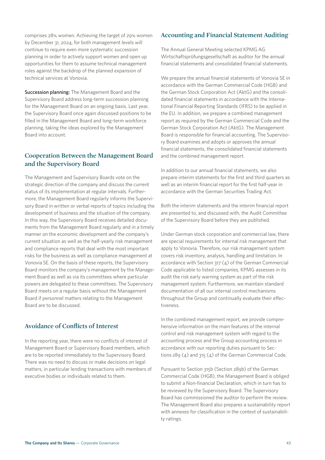comprises 28% women. Achieving the target of 29% women by December 31, 2024, for both management levels will continue to require even more systematic succession planning in order to actively support women and open up opportunities for them to assume technical management roles against the backdrop of the planned expansion of technical services at Vonovia.

Succession planning: The Management Board and the Supervisory Board address long-term succession planning for the Management Board on an ongoing basis. Last year, the Supervisory Board once again discussed positions to be filled in the Management Board and long-term workforce planning, taking the ideas explored by the Management Board into account.

#### **Cooperation Between the Management Board and the Supervisory Board**

The Management and Supervisory Boards vote on the strategic direction of the company and discuss the current status of its implementation at regular intervals. Furthermore, the Management Board regularly informs the Supervisory Board in written or verbal reports of topics including the development of business and the situation of the company. In this way, the Supervisory Board receives detailed documents from the Management Board regularly and in a timely manner on the economic development and the company's current situation as well as the half-yearly risk management and compliance reports that deal with the most important risks for the business as well as compliance management at Vonovia SE. On the basis of these reports, the Supervisory Board monitors the company's management by the Management Board as well as via its committees where particular powers are delegated to these committees. The Supervisory Board meets on a regular basis without the Management Board if personnel matters relating to the Management Board are to be discussed.

### **Avoidance of Conflicts of Interest**

In the reporting year, there were no conflicts of interest of Management Board or Supervisory Board members, which are to be reported immediately to the Supervisory Board. There was no need to discuss or make decisions on legal matters, in particular lending transactions with members of executive bodies or individuals related to them.

#### **Accounting and Financial Statement Auditing**

The Annual General Meeting selected KPMG AG Wirtschaftsprüfungsgesellschaft as auditor for the annual financial statements and consolidated financial statements.

We prepare the annual financial statements of Vonovia SE in accordance with the German Commercial Code (HGB) and the German Stock Corporation Act (AktG) and the consolidated financial statements in accordance with the International Financial Reporting Standards (IFRS) to be applied in the EU. In addition, we prepare a combined management report as required by the German Commercial Code and the German Stock Corporation Act (AktG). The Management Board is responsible for financial accounting. The Supervisory Board examines and adopts or approves the annual financial statements, the consolidated financial statements and the combined management report.

In addition to our annual financial statements, we also prepare interim statements for the first and third quarters as well as an interim financial report for the first half-year in accordance with the German Securities Trading Act.

Both the interim statements and the interim financial report are presented to, and discussed with, the Audit Committee of the Supervisory Board before they are published.

Under German stock corporation and commercial law, there are special requirements for internal risk management that apply to Vonovia. Therefore, our risk management system covers risk inventory, analysis, handling and limitation. In accordance with Section 317 (4) of the German Commercial Code applicable to listed companies, KPMG assesses in its audit the risk early warning system as part of the risk management system. Furthermore, we maintain standard documentation of all our internal control mechanisms throughout the Group and continually evaluate their effectiveness.

In the combined management report, we provide comprehensive information on the main features of the internal control and risk management system with regard to the accounting process and the Group accounting process in accordance with our reporting duties pursuant to Sections 289 (4) and 315 (4) of the German Commercial Code.

Pursuant to Section 315b (Section 289b) of the German Commercial Code (HGB), the Management Board is obliged to submit a Non-financial Declaration, which in turn has to be reviewed by the Supervisory Board. The Supervisory Board has commissioned the auditor to perform the review. The Management Board also prepares a sustainability report with annexes for classification in the context of sustainability ratings.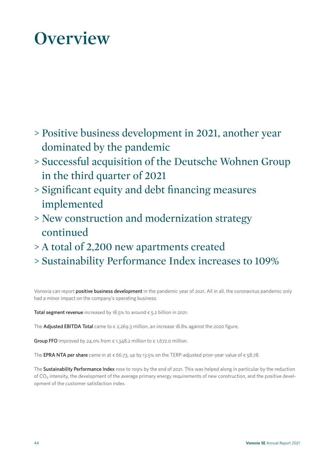## **Overview**

- > Positive business development in 2021, another year dominated by the pandemic
- > Successful acquisition of the Deutsche Wohnen Group in the third quarter of 2021
- > Significant equity and debt financing measures implemented
- > New construction and modernization strategy continued
- > A total of 2,200 new apartments created
- > Sustainability Performance Index increases to 109%

Vonovia can report **positive business development** in the pandemic year of 2021. All in all, the coronavirus pandemic only had a minor impact on the company's operating business.

Total segment revenue increased by 18.5% to around  $\epsilon$  5.2 billion in 2021.

The Adjusted EBITDA Total came to  $\epsilon$  2,269.3 million, an increase 18.8% against the 2020 figure.

Group FFO improved by 24.0% from  $\epsilon$  1,348.2 million to  $\epsilon$  1,672.0 million.

The EPRA NTA per share came in at  $\epsilon$  66.73, up by 13.5% on the TERP-adjusted prior-year value of  $\epsilon$  58.78.

The Sustainability Performance Index rose to 109% by the end of 2021. This was helped along in particular by the reduction of  $CO<sub>2</sub>$  intensity, the development of the average primary energy requirements of new construction, and the positive development of the customer satisfaction index.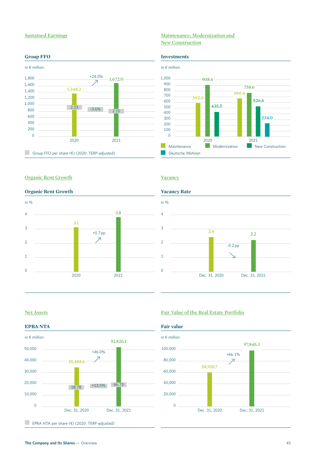#### **Sustained Earnings Maintenance, Modernization and New Construction**

#### **Group FFO** Investments in € million 0 200 400 600 1,000 1,800 800 2020 Group FFO per share (€) (2020: TERP-adjusted) 2021 **1,348.2 1,672.0**  $\begin{array}{|c|c|c|c|c|}\n\hline\n2.23 & -3.6\% & 2.15\n\end{array}$  $+24.0\%$ 1,200 1,600 1,400



#### **Organic Rent Growth Vacancy**

#### **Organic Rent Growth Vacancy Rate**





#### **EPRA NTA Fair value**



EPRA NTA per share  $(\epsilon)$  (2020: TERP-adjusted)

#### **Net Assets Fair Value of the Real Estate Portfolio**

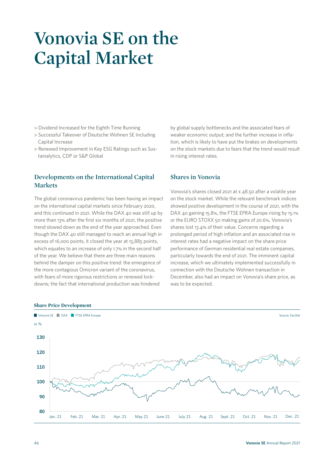### **Vonovia SE on the Capital Market**

- > Dividend Increased for the Eighth Time Running
- > Successful Takeover of Deutsche Wohnen SE Including Capital Increase
- > Renewed Improvement in Key ESG Ratings such as Sustainalytics, CDP or S&P Global

### **Developments on the International Capital Markets**

The global coronavirus pandemic has been having an impact on the international capital markets since February 2020, and this continued in 2021. While the DAX 40 was still up by more than 13% after the first six months of 2021, the positive trend slowed down as the end of the year approached. Even though the DAX 40 still managed to reach an annual high in excess of 16,000 points, it closed the year at 15,885 points, which equates to an increase of only 1.7% in the second half of the year. We believe that there are three main reasons behind the damper on this positive trend: the emergence of the more contagious Omicron variant of the coronavirus, with fears of more rigorous restrictions or renewed lockdowns; the fact that international production was hindered

by global supply bottlenecks and the associated fears of weaker economic output; and the further increase in inflation, which is likely to have put the brakes on developments on the stock markets due to fears that the trend would result in rising interest rates.

#### **Shares in Vonovia**

Vonovia's shares closed 2021 at € 48.50 after a volatile year on the stock market. While the relevant benchmark indices showed positive development in the course of 2021, with the DAX 40 gaining 15.8%, the FTSE EPRA Europe rising by 15.1% or the EURO STOXX 50 making gains of 20.6%, Vonovia's shares lost 13.4% of their value. Concerns regarding a prolonged period of high inflation and an associated rise in interest rates had a negative impact on the share price performance of German residential real estate companies, particularly towards the end of 2021. The imminent capital increase, which we ultimately implemented successfully in connection with the Deutsche Wohnen transaction in December, also had an impact on Vonovia's share price, as was to be expected.



#### **Share Price Development**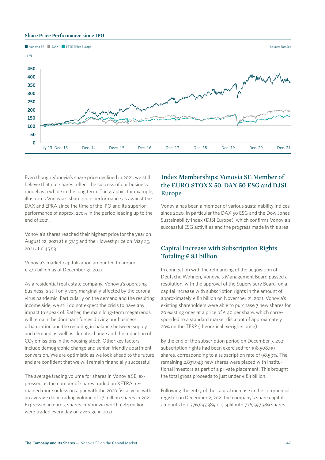#### **Share Price Performance since IPO**



Even though Vonovia's share price declined in 2021, we still believe that our shares reflect the success of our business model as a whole in the long term. The graphic, for example, illustrates Vonovia's share price performance as against the DAX and EPRA since the time of the IPO and its superior performance of approx. 270% in the period leading up to the end of 2021.

Vonovia's shares reached their highest price for the year on August 22, 2021 at  $\epsilon$  57.15 and their lowest price on May 25, 2021 at € 45.53.

Vonovia's market capitalization amounted to around € 37.7 billion as of December 31, 2021.

As a residential real estate company, Vonovia's operating business is still only very marginally affected by the coronavirus pandemic. Particularly on the demand and the resulting income side, we still do not expect the crisis to have any impact to speak of. Rather, the main long-term megatrends will remain the dominant forces driving our business: urbanization and the resulting imbalance between supply and demand as well as climate change and the reduction of CO<sub>2</sub> emissions in the housing stock. Other key factors include demographic change and senior-friendly apartment conversion. We are optimistic as we look ahead to the future and are confident that we will remain financially successful.

The average trading volume for shares in Vonovia SE, expressed as the number of shares traded on XETRA, remained more or less on a par with the 2020 fiscal year, with an average daily trading volume of 1.7 million shares in 2021. Expressed in euros, shares in Vonovia worth  $\epsilon$  84 million were traded every day on average in 2021.

### **Index Memberships: Vonovia SE Member of the EURO STOXX 50, DAX 50 ESG and DJSI Europe**

Vonovia has been a member of various sustainability indices since 2020, in particular the DAX 50 ESG and the Dow Jones Sustainability Index (DJSI Europe), which confirms Vonovia's successful ESG activities and the progress made in this area.

#### **Capital Increase with Subscription Rights Totaling € 8.1 billion**

In connection with the refinancing of the acquisition of Deutsche Wohnen, Vonovia's Management Board passed a resolution, with the approval of the Supervisory Board, on a capital increase with subscription rights in the amount of approximately  $\epsilon$  8.1 billion on November 21, 2021. Vonovia's existing shareholders were able to purchase 7 new shares for 20 existing ones at a price of  $\epsilon$  40 per share, which corresponded to a standard market discount of approximately 20% on the TERP (theoretical ex-rights price).

By the end of the subscription period on December 7, 2021 subscription rights had been exercised for 198,508,119 shares, corresponding to a subscription rate of 98.59%. The remaining 2,831,943 new shares were placed with institutional investors as part of a private placement. This brought the total gross proceeds to just under  $\epsilon$  8.1 billion.

Following the entry of the capital increase in the commercial register on December 2, 2021 the company's share capital amounts to  $\epsilon$  776,597,389,00, split into 776,597,389 shares.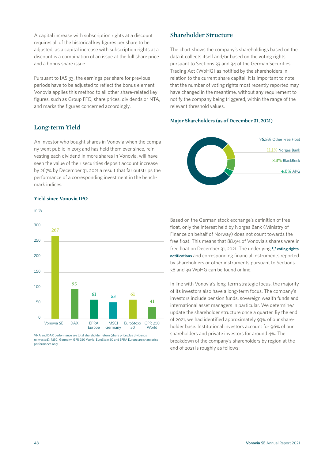A capital increase with subscription rights at a discount requires all of the historical key figures per share to be adjusted, as a capital increase with subscription rights at a discount is a combination of an issue at the full share price and a bonus share issue.

Pursuant to IAS 33, the earnings per share for previous periods have to be adjusted to reflect the bonus element. Vonovia applies this method to all other share-related key figures, such as Group FFO, share prices, dividends or NTA, and marks the figures concerned accordingly.

#### **Long-term Yield**

An investor who bought shares in Vonovia when the company went public in 2013 and has held them ever since, reinvesting each dividend in more shares in Vonovia, will have seen the value of their securities deposit account increase by 267% by December 31, 2021 a result that far outstrips the performance of a corresponding investment in the benchmark indices.

#### **Yield since Vonovia IPO**



VNA and DAX performance are total shareholder return (share price plus dividends reinvested); MSCI Germany, GPR 250 World, EuroStoxx50 and EPRA Europe are share price performance only.

#### **Shareholder Structure**

The chart shows the company's shareholdings based on the data it collects itself and/or based on the voting rights pursuant to Sections 33 and 34 of the German Securities Trading Act (WpHG) as notified by the shareholders in relation to the current share capital. It is important to note that the number of voting rights most recently reported may have changed in the meantime, without any requirement to notify the company being triggered, within the range of the relevant threshold values.





Based on the German stock exchange's definition of free float, only the interest held by Norges Bank (Ministry of Finance on behalf of Norway) does not count towards the free float. This means that 88.9% of Vonovia's shares were in free float on December 31, 2021. The underlying  $\bigoplus$  voting rights **[notifications](https://investoren.vonovia.de/en/news-and-publications/disclosure-of--voting-rights/)** and corresponding financial instruments reported by shareholders or other instruments pursuant to Sections 38 and 39 WpHG can be found online.

In line with Vonovia's long-term strategic focus, the majority of its investors also have a long-term focus. The company's investors include pension funds, sovereign wealth funds and international asset managers in particular. We determine/ update the shareholder structure once a quarter. By the end of 2021, we had identified approximately 93% of our shareholder base. Institutional investors account for 96% of our shareholders and private investors for around 4%. The breakdown of the company's shareholders by region at the end of 2021 is roughly as follows: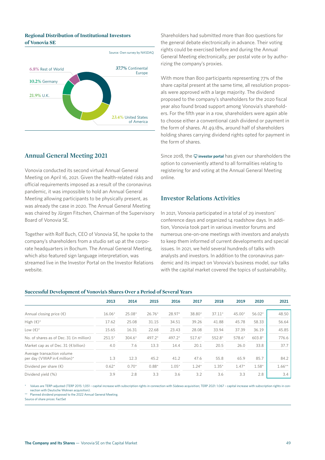#### **Regional Distribution of Institutional Investors of Vonovia SE**



#### **Annual General Meeting 2021**

Vonovia conducted its second virtual Annual General Meeting on April 16, 2021. Given the health-related risks and official requirements imposed as a result of the coronavirus pandemic, it was impossible to hold an Annual General Meeting allowing participants to be physically present, as was already the case in 2020. The Annual General Meeting was chaired by Jürgen Fitschen, Chairman of the Supervisory Board of Vonovia SE.

Together with Rolf Buch, CEO of Vonovia SE, he spoke to the company's shareholders from a studio set up at the corporate headquarters in Bochum. The Annual General Meeting, which also featured sign language interpretation, was streamed live in the Investor Portal on the Investor Relations website.

Shareholders had submitted more than 800 questions for the general debate electronically in advance. Their voting rights could be exercised before and during the Annual General Meeting electronically, per postal vote or by authorizing the company's proxies.

With more than 800 participants representing 77% of the share capital present at the same time, all resolution proposals were approved with a large majority. The dividend proposed to the company's shareholders for the 2020 fiscal year also found broad support among Vonovia's shareholders. For the fifth year in a row, shareholders were again able to choose either a conventional cash dividend or payment in the form of shares. At 49.18%, around half of shareholders holding shares carrying dividend rights opted for payment in the form of shares.

Since 2018, the  $\Xi$  [investor portal](https://investor.computershare.de/vonovia?plang=en#/login) has given our shareholders the option to conveniently attend to all formalities relating to registering for and voting at the Annual General Meeting online.

#### **Investor Relations Activities**

In 2021, Vonovia participated in a total of 29 investors' conference days and organized 14 roadshow days. In addition, Vonovia took part in various investor forums and numerous one-on-one meetings with investors and analysts to keep them informed of current developments and special issues. In 2021, we held several hundreds of talks with analysts and investors. In addition to the coronavirus pandemic and its impact on Vonovia's business model, our talks with the capital market covered the topics of sustainability,

#### **Successful Development of Vonovia's Shares Over a Period of Several Years**

|                                                            | 2013     | 2014     | 2015     | 2016     | 2017     | 2018     | 2019     | 2020     | 2021      |
|------------------------------------------------------------|----------|----------|----------|----------|----------|----------|----------|----------|-----------|
|                                                            |          |          |          |          |          |          |          |          |           |
| Annual closing price $(\epsilon)$                          | $16.06*$ | $25.08*$ | $26.76*$ | 28.97*   | 38.80*   | $37.11*$ | $45.00*$ | $56.02*$ | 48.50     |
| High $(\epsilon)^*$                                        | 17.62    | 25.08    | 31.15    | 34.51    | 39.26    | 41.88    | 45.78    | 58.33    | 56.64     |
| Low $(\epsilon)^*$                                         | 15.65    | 16.31    | 22.68    | 23.43    | 28.08    | 33.94    | 37.39    | 36.19    | 45.85     |
| No. of shares as of Dec. 31 (in million)                   | $251.5*$ | $304.6*$ | 497.2*   | $497.2*$ | $517.6*$ | 552.8*   | $578.6*$ | $603.8*$ | 776.6     |
| Market cap as of Dec. 31 ( $\epsilon$ billion)             | 4.0      | 7.6      | 13.3     | 14.4     | 20.1     | 20.5     | 26.0     | 33.8     | 37.7      |
| Average transaction volume<br>per day (VWAP in € million)* | 1.3      | 12.3     | 45.2     | 41.2     | 47.6     | 55.8     | 65.9     | 85.7     | 84.2      |
| Dividend per share $(\epsilon)$                            | $0.62*$  | $0.70*$  | $0.88*$  | $1.05*$  | $1.24*$  | $1.35*$  | $1.47*$  | $1.58*$  | $1.66***$ |
| Dividend yield (%)                                         | 3.9      | 2.8      | 3.3      | 3.6      | 3.2      | 3.6      | 3.3      | 2.8      | 3.4       |

Values are TERP-adjusted (TERP 2015: 1,051 - capital increase with subscription rights in connection with Südewo acquisition; TERP 2021: 1.067 - capital increase with subscription rights in connection with Deutsche Wohnen acquisition).

\*\* Planned dividend proposed to the 2022 Annual General Meeting.

Source of share prices: FactSet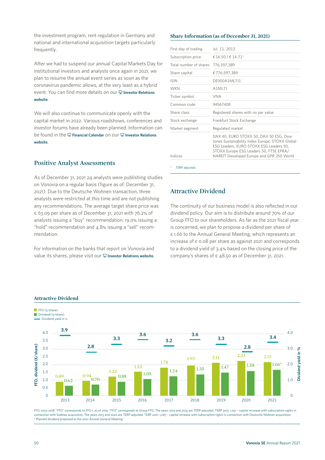the investment program, rent regulation in Germany and national and international acquisition targets particularly frequently.

After we had to suspend our annual Capital Markets Day for institutional investors and analysts once again in 2021, we plan to resume the annual event series as soon as the coronavirus pandemic allows, at the very least as a hybrid event. You can find more details on our **H** Investor Relations **[website](https://investoren.vonovia.de/en/news-and-publications/capital-markets-day/)**.

We will also continue to communicate openly with the capital market in 2022. Various roadshows, conferences and investor forums have already been planned. Information can be found in the **[Financial Calendar](https://investoren.vonovia.de/en/service/financial-calendar/)** on our **[Investor Relations](https://investoren.vonovia.de/en/)  [website](https://investoren.vonovia.de/en/)**.

#### **Positive Analyst Assessments**

As of December 31, 2021 24 analysts were publishing studies on Vonovia on a regular basis (figure as of: December 31, 2021). Due to the Deutsche Wohnen transaction, three analysts were restricted at this time and are not publishing any recommendations. The average target share price was  $\epsilon$  63.09 per share as of December 31, 2021 with 76.2% of analysts issuing a "buy" recommendation, 19.0% issuing a "hold" recommendation and 4.8% issuing a "sell" recommendation.

For information on the banks that report on Vonovia and value its shares, please visit our  $\Box$  [Investor Relations website](https://investoren.vonovia.de/en/share-information/analysts-and-consensus/).

#### **Share Information (as of December 31, 2021)**

| First day of trading   | Jul. 11, 2013                                                                                                                                                                                                                |
|------------------------|------------------------------------------------------------------------------------------------------------------------------------------------------------------------------------------------------------------------------|
| Subscription price     | € 16.50   € 14.71*                                                                                                                                                                                                           |
| Total number of shares | 776,597,389                                                                                                                                                                                                                  |
| Share capital          | €776,597,389                                                                                                                                                                                                                 |
| <b>ISIN</b>            | DE000A1ML7J1                                                                                                                                                                                                                 |
| <b>WKN</b>             | A1ML7J                                                                                                                                                                                                                       |
| Ticker symbol          | <b>VNA</b>                                                                                                                                                                                                                   |
| Common code            | 94567408                                                                                                                                                                                                                     |
| Share class            | Registered shares with no par value                                                                                                                                                                                          |
| Stock exchange         | Frankfurt Stock Exchange                                                                                                                                                                                                     |
| Market segment         | Regulated market                                                                                                                                                                                                             |
| Indices                | DAX 40, EURO STOXX 50, DAX 50 ESG, Dow<br>Jones Sustainability Index Europe, STOXX Global<br>ESG Leaders, EURO STOXX ESG Leaders 50,<br>STOXX Europe ESG Leaders 50, FTSE EPRA/<br>NAREIT Developed Europe and GPR 250 World |
| TERP adjusted.         |                                                                                                                                                                                                                              |

#### **Attractive Dividend**

The continuity of our business model is also reflected in our dividend policy. Our aim is to distribute around 70% of our Group FFO to our shareholders. As far as the 2021 fiscal year is concerned, we plan to propose a dividend per share of € 1.66 to the Annual General Meeting, which represents an increase of  $\epsilon$  0.08 per share as against 2021 and corresponds to a dividend yield of 3.4% based on the closing price of the company's shares of  $\epsilon$  48.50 as of December 31, 2021.



#### **Attractive Dividend**

FFO: 2013–2018: "FFO" corresponds to FFO 1; as of 2019: "FFO" corresponds to Group FFO. The years 2013 and 2014 are TERP-adjusted. TERP 2015: 1,051 – capital increase with subscription rights in connection with Südewo acquisition. The years 2013 and 2020 are TERP-adjusted. TERP 2021: 1,067 - capital increase with subscription rights in connection with Deutsche Wohnen acquisition.<br>\* Planned dividend proposed to the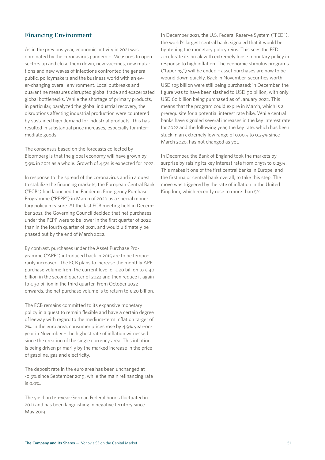#### **Financing Environment**

As in the previous year, economic activity in 2021 was dominated by the coronavirus pandemic. Measures to open sectors up and close them down, new vaccines, new mutations and new waves of infections confronted the general public, policymakers and the business world with an ever-changing overall environment. Local outbreaks and quarantine measures disrupted global trade and exacerbated global bottlenecks. While the shortage of primary products, in particular, paralyzed the global industrial recovery, the disruptions affecting industrial production were countered by sustained high demand for industrial products. This has resulted in substantial price increases, especially for intermediate goods.

The consensus based on the forecasts collected by Bloomberg is that the global economy will have grown by 5.9% in 2021 as a whole. Growth of 4.5% is expected for 2022.

In response to the spread of the coronavirus and in a quest to stabilize the financing markets, the European Central Bank ("ECB") had launched the Pandemic Emergency Purchase Programme ("PEPP") in March of 2020 as a special monetary policy measure. At the last ECB meeting held in December 2021, the Governing Council decided that net purchases under the PEPP were to be lower in the first quarter of 2022 than in the fourth quarter of 2021, and would ultimately be phased out by the end of March 2022.

By contrast, purchases under the Asset Purchase Programme ("APP") introduced back in 2015 are to be temporarily increased. The ECB plans to increase the monthly APP purchase volume from the current level of  $\epsilon$  20 billion to  $\epsilon$  40 billion in the second quarter of 2022 and then reduce it again to € 30 billion in the third quarter. From October 2022 onwards, the net purchase volume is to return to  $\epsilon$  20 billion.

The ECB remains committed to its expansive monetary policy in a quest to remain flexible and have a certain degree of leeway with regard to the medium-term inflation target of 2%. In the euro area, consumer prices rose by 4.9% year-onyear in November – the highest rate of inflation witnessed since the creation of the single currency area. This inflation is being driven primarily by the marked increase in the price of gasoline, gas and electricity.

The deposit rate in the euro area has been unchanged at -0.5% since September 2019, while the main refinancing rate is 0.0%.

The yield on ten-year German Federal bonds fluctuated in 2021 and has been languishing in negative territory since May 2019.

In December 2021, the U.S. Federal Reserve System ("FED"), the world's largest central bank, signaled that it would be tightening the monetary policy reins. This sees the FED accelerate its break with extremely loose monetary policy in response to high inflation. The economic stimulus programs ("tapering") will be ended – asset purchases are now to be wound down quickly. Back in November, securities worth USD 105 billion were still being purchased; in December, the figure was to have been slashed to USD 90 billion, with only USD 60 billion being purchased as of January 2022. This means that the program could expire in March, which is a prerequisite for a potential interest rate hike. While central banks have signaled several increases in the key interest rate for 2022 and the following year, the key rate, which has been stuck in an extremely low range of 0.00% to 0.25% since March 2020, has not changed as yet.

In December, the Bank of England took the markets by surprise by raising its key interest rate from 0.15% to 0.25%. This makes it one of the first central banks in Europe, and the first major central bank overall, to take this step. The move was triggered by the rate of inflation in the United Kingdom, which recently rose to more than 5%.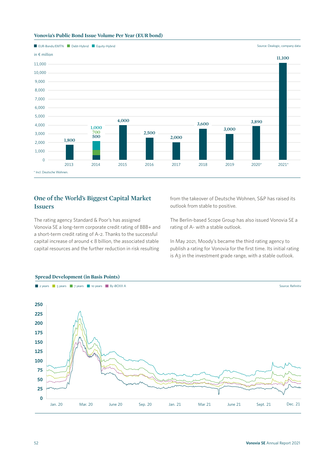



#### **One of the World's Biggest Capital Market Issuers**

The rating agency Standard & Poor's has assigned Vonovia SE a long-term corporate credit rating of BBB+ and a short-term credit rating of A-2. Thanks to the successful capital increase of around  $\epsilon$  8 billion, the associated stable capital resources and the further reduction in risk resulting

from the takeover of Deutsche Wohnen, S&P has raised its outlook from stable to positive.

The Berlin-based Scope Group has also issued Vonovia SE a rating of A- with a stable outlook.

In May 2021, Moody's became the third rating agency to publish a rating for Vonovia for the first time. Its initial rating is A3 in the investment grade range, with a stable outlook.



#### **Spread Development (in Basis Points)**